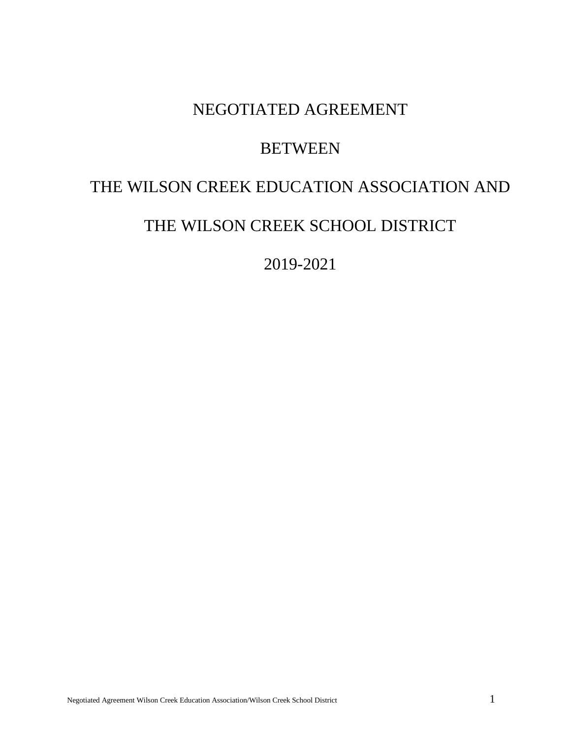# NEGOTIATED AGREEMENT

# **BETWEEN**

# THE WILSON CREEK EDUCATION ASSOCIATION AND

# THE WILSON CREEK SCHOOL DISTRICT

2019-2021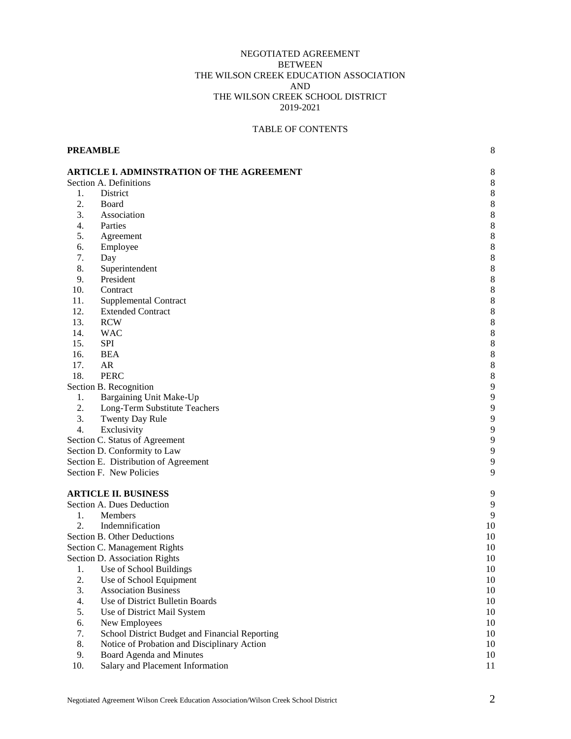# NEGOTIATED AGREEMENT **BETWEEN** THE WILSON CREEK EDUCATION ASSOCIATION AND THE WILSON CREEK SCHOOL DISTRICT 2019-2021

# TABLE OF CONTENTS

**PREAMBLE** 8

|     | <b>ARTICLE I. ADMINSTRATION OF THE AGREEMENT</b> |             |
|-----|--------------------------------------------------|-------------|
|     | Section A. Definitions                           | 8<br>8      |
| 1.  | District                                         | 8           |
| 2.  | Board                                            | 8           |
| 3.  | Association                                      | 8           |
| 4.  | Parties                                          | 8           |
|     |                                                  |             |
| 5.  | Agreement                                        | $\,$ 8 $\,$ |
| 6.  | Employee                                         | $\,$ 8 $\,$ |
| 7.  | Day                                              | $\,$ 8 $\,$ |
| 8.  | Superintendent                                   | $\,$ 8 $\,$ |
| 9.  | President                                        | 8           |
| 10. | Contract                                         | 8           |
| 11. | Supplemental Contract                            | 8           |
| 12. | <b>Extended Contract</b>                         | 8           |
| 13. | <b>RCW</b>                                       | 8           |
| 14. | <b>WAC</b>                                       | 8           |
| 15. | <b>SPI</b>                                       | 8           |
| 16. | <b>BEA</b>                                       | 8           |
| 17. | AR                                               | $\,$ 8 $\,$ |
| 18. | <b>PERC</b>                                      | 8           |
|     | Section B. Recognition                           | 9           |
| 1.  | Bargaining Unit Make-Up                          | 9           |
| 2.  | Long-Term Substitute Teachers                    | 9           |
| 3.  | Twenty Day Rule                                  | 9           |
| 4.  | Exclusivity                                      | 9           |
|     | Section C. Status of Agreement                   | 9           |
|     | Section D. Conformity to Law                     | 9           |
|     | Section E. Distribution of Agreement             | 9           |
|     | Section F. New Policies                          | 9           |
|     |                                                  |             |
|     | <b>ARTICLE II. BUSINESS</b>                      | 9           |
|     | Section A. Dues Deduction                        | 9           |
| 1.  | Members                                          | 9           |
| 2.  | Indemnification                                  | 10          |
|     | Section B. Other Deductions                      | 10          |
|     | Section C. Management Rights                     | 10          |
|     | Section D. Association Rights                    | 10          |
| 1.  | Use of School Buildings                          | 10          |
| 2.  | Use of School Equipment                          | 10          |
| 3.  | <b>Association Business</b>                      | 10          |
| 4.  | Use of District Bulletin Boards                  | 10          |
| 5.  | Use of District Mail System                      | 10          |
| 6.  | New Employees                                    | 10          |
| 7.  | School District Budget and Financial Reporting   | 10          |
| 8.  | Notice of Probation and Disciplinary Action      | 10          |
| 9.  | Board Agenda and Minutes                         | 10          |
| 10. | Salary and Placement Information                 | 11          |
|     |                                                  |             |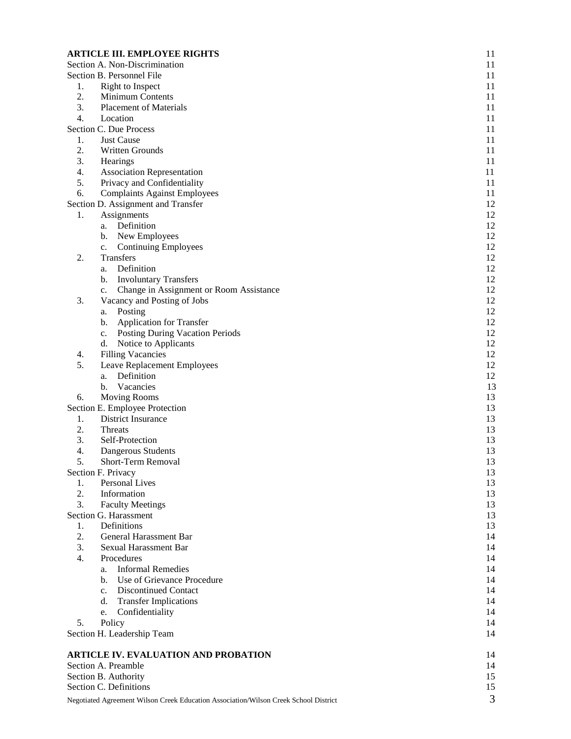|    | <b>ARTICLE III. EMPLOYEE RIGHTS</b>                                                  | 11 |
|----|--------------------------------------------------------------------------------------|----|
|    | Section A. Non-Discrimination                                                        | 11 |
|    | Section B. Personnel File                                                            | 11 |
| 1. | Right to Inspect                                                                     | 11 |
| 2. | Minimum Contents                                                                     | 11 |
| 3. | <b>Placement of Materials</b>                                                        | 11 |
| 4. | Location                                                                             | 11 |
|    | Section C. Due Process                                                               | 11 |
| 1. | <b>Just Cause</b>                                                                    | 11 |
| 2. | <b>Written Grounds</b>                                                               | 11 |
| 3. | Hearings                                                                             | 11 |
| 4. | <b>Association Representation</b>                                                    | 11 |
| 5. | Privacy and Confidentiality                                                          | 11 |
| 6. | <b>Complaints Against Employees</b>                                                  | 11 |
|    | Section D. Assignment and Transfer                                                   | 12 |
| 1. | Assignments                                                                          | 12 |
|    | Definition<br>a.                                                                     | 12 |
|    | New Employees<br>b.                                                                  | 12 |
|    | <b>Continuing Employees</b><br>c.                                                    | 12 |
| 2. | Transfers                                                                            | 12 |
|    | Definition<br>a.                                                                     | 12 |
|    | <b>Involuntary Transfers</b><br>b.                                                   | 12 |
|    | Change in Assignment or Room Assistance<br>c.                                        | 12 |
| 3. | Vacancy and Posting of Jobs                                                          | 12 |
|    | Posting<br>a.                                                                        | 12 |
|    | <b>Application for Transfer</b><br>b.                                                | 12 |
|    | <b>Posting During Vacation Periods</b><br>c.                                         | 12 |
|    | Notice to Applicants<br>d.                                                           | 12 |
| 4. | <b>Filling Vacancies</b>                                                             | 12 |
| 5. | Leave Replacement Employees                                                          | 12 |
|    | Definition<br>a.                                                                     | 12 |
|    | Vacancies<br>b.                                                                      | 13 |
| 6. | <b>Moving Rooms</b>                                                                  | 13 |
|    | Section E. Employee Protection                                                       | 13 |
| 1. | District Insurance                                                                   | 13 |
| 2. | Threats                                                                              | 13 |
| 3. | Self-Protection                                                                      | 13 |
| 4. | Dangerous Students                                                                   | 13 |
| 5. | Short-Term Removal                                                                   | 13 |
|    | Section F. Privacy                                                                   | 13 |
| 1. | Personal Lives                                                                       | 13 |
| 2. | Information                                                                          | 13 |
| 3. | <b>Faculty Meetings</b>                                                              | 13 |
|    | Section G. Harassment                                                                | 13 |
| 1. | Definitions                                                                          | 13 |
| 2. | General Harassment Bar                                                               | 14 |
| 3. | <b>Sexual Harassment Bar</b>                                                         | 14 |
| 4. | Procedures                                                                           | 14 |
|    | <b>Informal Remedies</b><br>a.                                                       | 14 |
|    | Use of Grievance Procedure<br>b.                                                     | 14 |
|    | <b>Discontinued Contact</b><br>$\mathbf{c}$ .                                        | 14 |
|    | <b>Transfer Implications</b><br>d.                                                   | 14 |
|    | Confidentiality<br>e.                                                                | 14 |
| 5. | Policy                                                                               | 14 |
|    | Section H. Leadership Team                                                           | 14 |
|    | <b>ARTICLE IV. EVALUATION AND PROBATION</b>                                          | 14 |
|    | Section A. Preamble                                                                  | 14 |
|    | Section B. Authority                                                                 | 15 |
|    | Section C. Definitions                                                               | 15 |
|    | Negotiated Agreement Wilson Creek Education Association/Wilson Creek School District | 3  |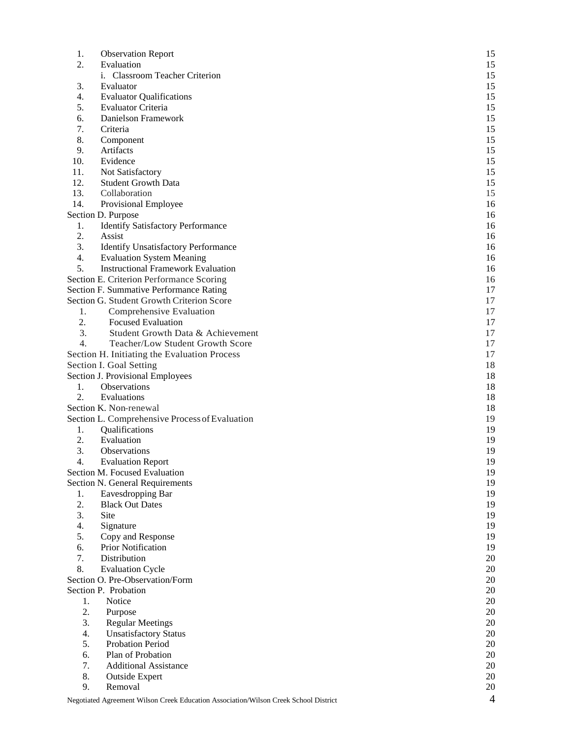| 1.       | <b>Observation Report</b>                                                            | 15             |
|----------|--------------------------------------------------------------------------------------|----------------|
| 2.       | Evaluation                                                                           | 15             |
|          | i. Classroom Teacher Criterion                                                       | 15             |
| 3.       | Evaluator                                                                            | 15             |
| 4.       | <b>Evaluator Qualifications</b>                                                      | 15             |
| 5.       | Evaluator Criteria                                                                   | 15             |
| 6.       | Danielson Framework                                                                  | 15             |
| 7.       | Criteria                                                                             | 15             |
| 8.       | Component                                                                            | 15             |
| 9.       | Artifacts                                                                            | 15             |
| 10.      | Evidence                                                                             | 15             |
| 11.      | Not Satisfactory                                                                     | 15             |
| 12.      | <b>Student Growth Data</b>                                                           | 15             |
| 13.      | Collaboration                                                                        | 15             |
| 14.      | Provisional Employee                                                                 | 16             |
|          | Section D. Purpose                                                                   | 16             |
| 1.       | <b>Identify Satisfactory Performance</b>                                             | 16             |
| 2.       | Assist                                                                               | 16             |
| 3.       | <b>Identify Unsatisfactory Performance</b>                                           | 16             |
| 4.       | <b>Evaluation System Meaning</b>                                                     | 16             |
| 5.       | <b>Instructional Framework Evaluation</b>                                            | 16             |
|          | Section E. Criterion Performance Scoring                                             | 16             |
|          | Section F. Summative Performance Rating                                              | 17             |
|          | Section G. Student Growth Criterion Score                                            | 17             |
| 1.       | Comprehensive Evaluation                                                             | 17             |
| 2.       | <b>Focused Evaluation</b>                                                            | 17             |
| 3.       | Student Growth Data & Achievement                                                    | 17             |
| 4.       | Teacher/Low Student Growth Score                                                     | 17             |
|          |                                                                                      |                |
|          | Section H. Initiating the Evaluation Process                                         | 17             |
|          | Section I. Goal Setting                                                              | 18             |
|          | Section J. Provisional Employees                                                     | 18             |
| 1.<br>2. | Observations<br>Evaluations                                                          | 18             |
|          |                                                                                      | 18             |
|          | Section K. Non-renewal                                                               | 18             |
|          | Section L. Comprehensive Process of Evaluation                                       | 19             |
| 1.       | Qualifications                                                                       | 19             |
| 2.       | Evaluation                                                                           | 19             |
| 3.       | Observations                                                                         | 19             |
| 4.       | <b>Evaluation Report</b>                                                             | 19             |
|          | Section M. Focused Evaluation                                                        | 19             |
|          | Section N. General Requirements                                                      | 19             |
| 1.       | Eavesdropping Bar                                                                    | 19             |
| 2.       | <b>Black Out Dates</b>                                                               | 19             |
| 3.       | Site                                                                                 | 19             |
| 4.       | Signature                                                                            | 19             |
| 5.       | Copy and Response                                                                    | 19             |
| 6.       | <b>Prior Notification</b>                                                            | 19             |
| 7.       | Distribution                                                                         | 20             |
| 8.       | <b>Evaluation Cycle</b>                                                              | 20             |
|          | Section O. Pre-Observation/Form                                                      | $20\,$         |
|          | Section P. Probation                                                                 | 20             |
| 1.       | Notice                                                                               | 20             |
| 2.       | Purpose                                                                              | 20             |
| 3.       | <b>Regular Meetings</b>                                                              | $20\,$         |
| 4.       | <b>Unsatisfactory Status</b>                                                         | 20             |
| 5.       | <b>Probation Period</b>                                                              | 20             |
| 6.       | Plan of Probation                                                                    | 20             |
| 7.       | <b>Additional Assistance</b>                                                         | 20             |
| 8.       | <b>Outside Expert</b>                                                                | 20             |
| 9.       | Removal                                                                              | 20             |
|          | Negotiated Agreement Wilson Creek Education Association/Wilson Creek School District | $\overline{4}$ |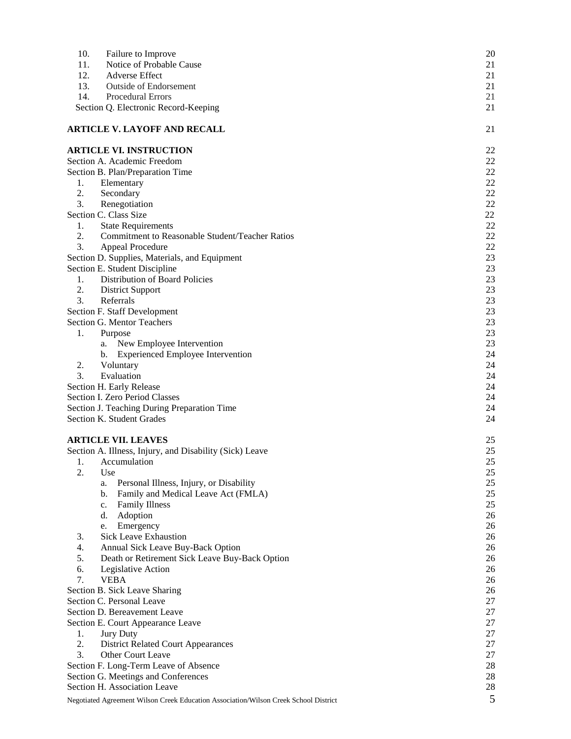| 10. | Failure to Improve                                                                   | 20       |
|-----|--------------------------------------------------------------------------------------|----------|
| 11. | Notice of Probable Cause                                                             | 21       |
| 12. | <b>Adverse Effect</b>                                                                | 21       |
| 13. | <b>Outside of Endorsement</b>                                                        | 21       |
| 14. | Procedural Errors                                                                    | 21       |
|     | Section Q. Electronic Record-Keeping                                                 | 21       |
|     | <b>ARTICLE V. LAYOFF AND RECALL</b>                                                  | 21       |
|     | <b>ARTICLE VI. INSTRUCTION</b>                                                       | 22       |
|     | Section A. Academic Freedom                                                          | 22       |
|     | Section B. Plan/Preparation Time                                                     | 22       |
| 1.  | Elementary                                                                           | 22       |
| 2.  | Secondary                                                                            | $22\,$   |
| 3.  | Renegotiation                                                                        | 22       |
|     | Section C. Class Size                                                                | 22       |
| 1.  | <b>State Requirements</b>                                                            | $22\,$   |
| 2.  | Commitment to Reasonable Student/Teacher Ratios                                      | 22       |
| 3.  | <b>Appeal Procedure</b>                                                              | 22       |
|     | Section D. Supplies, Materials, and Equipment                                        | 23<br>23 |
| 1.  | Section E. Student Discipline<br>Distribution of Board Policies                      | 23       |
| 2.  | <b>District Support</b>                                                              | 23       |
| 3.  | Referrals                                                                            | 23       |
|     | Section F. Staff Development                                                         | 23       |
|     | <b>Section G. Mentor Teachers</b>                                                    | 23       |
| 1.  | Purpose                                                                              | 23       |
|     | New Employee Intervention<br>a.                                                      | 23       |
|     | <b>Experienced Employee Intervention</b><br>b.                                       | 24       |
| 2.  | Voluntary                                                                            | 24       |
| 3.  | Evaluation                                                                           | 24       |
|     | Section H. Early Release                                                             | 24       |
|     | Section I. Zero Period Classes                                                       | 24       |
|     | Section J. Teaching During Preparation Time                                          | 24       |
|     | Section K. Student Grades                                                            | 24       |
|     | <b>ARTICLE VII. LEAVES</b>                                                           | 25       |
|     | Section A. Illness, Injury, and Disability (Sick) Leave                              | 25       |
| 1.  | Accumulation                                                                         | 25       |
| 2.  | Use                                                                                  | 25       |
|     | Personal Illness, Injury, or Disability<br>a.                                        | 25       |
|     | Family and Medical Leave Act (FMLA)<br>b.<br>Family Illness                          | 25<br>25 |
|     | c.<br>Adoption<br>d.                                                                 | 26       |
|     | Emergency<br>e.                                                                      | 26       |
| 3.  | <b>Sick Leave Exhaustion</b>                                                         | 26       |
| 4.  | Annual Sick Leave Buy-Back Option                                                    | 26       |
| 5.  | Death or Retirement Sick Leave Buy-Back Option                                       | 26       |
| 6.  | Legislative Action                                                                   | 26       |
| 7.  | <b>VEBA</b>                                                                          | 26       |
|     | Section B. Sick Leave Sharing                                                        | 26       |
|     | Section C. Personal Leave                                                            | 27       |
|     | Section D. Bereavement Leave                                                         | 27       |
|     | Section E. Court Appearance Leave                                                    | 27       |
| 1.  | Jury Duty                                                                            | $27\,$   |
| 2.  | <b>District Related Court Appearances</b>                                            | $27\,$   |
| 3.  | Other Court Leave                                                                    | 27       |
|     | Section F. Long-Term Leave of Absence                                                | 28       |
|     | Section G. Meetings and Conferences                                                  | 28       |
|     | Section H. Association Leave                                                         | 28       |
|     | Negotiated Agreement Wilson Creek Education Association/Wilson Creek School District | 5        |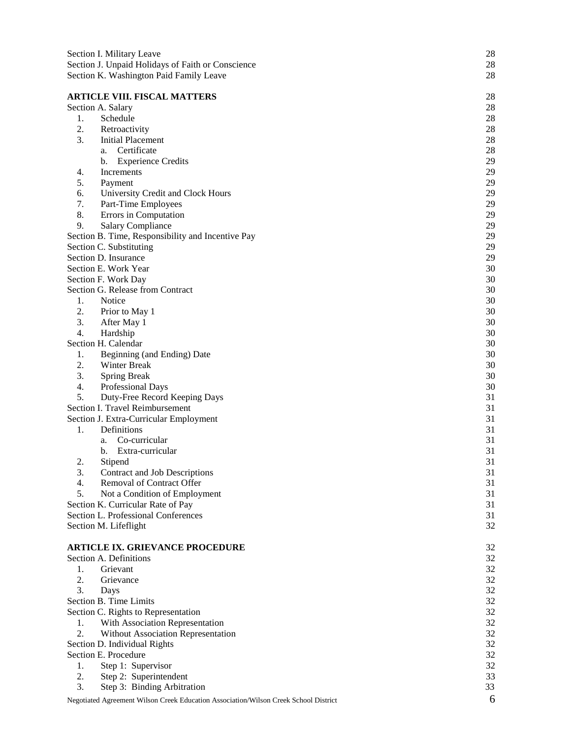|                                                   | Section I. Military Leave                                                            | 28 |  |  |  |
|---------------------------------------------------|--------------------------------------------------------------------------------------|----|--|--|--|
| Section J. Unpaid Holidays of Faith or Conscience |                                                                                      |    |  |  |  |
|                                                   | Section K. Washington Paid Family Leave                                              | 28 |  |  |  |
|                                                   |                                                                                      |    |  |  |  |
|                                                   | <b>ARTICLE VIII. FISCAL MATTERS</b>                                                  | 28 |  |  |  |
|                                                   | Section A. Salary                                                                    | 28 |  |  |  |
| 1.                                                | Schedule                                                                             | 28 |  |  |  |
| 2.                                                | Retroactivity                                                                        | 28 |  |  |  |
| 3.                                                | <b>Initial Placement</b>                                                             | 28 |  |  |  |
|                                                   | Certificate<br>a.                                                                    | 28 |  |  |  |
|                                                   | <b>Experience Credits</b><br>b.                                                      | 29 |  |  |  |
| 4.                                                | Increments                                                                           | 29 |  |  |  |
| 5.                                                | Payment                                                                              | 29 |  |  |  |
| 6.                                                | University Credit and Clock Hours                                                    | 29 |  |  |  |
| 7.                                                | Part-Time Employees                                                                  | 29 |  |  |  |
| 8.                                                | Errors in Computation                                                                | 29 |  |  |  |
| 9.                                                | <b>Salary Compliance</b>                                                             | 29 |  |  |  |
|                                                   | Section B. Time, Responsibility and Incentive Pay                                    | 29 |  |  |  |
|                                                   | Section C. Substituting                                                              | 29 |  |  |  |
|                                                   | Section D. Insurance                                                                 | 29 |  |  |  |
|                                                   | Section E. Work Year                                                                 | 30 |  |  |  |
|                                                   | Section F. Work Day                                                                  | 30 |  |  |  |
|                                                   | Section G. Release from Contract                                                     | 30 |  |  |  |
| 1.                                                | Notice                                                                               | 30 |  |  |  |
| 2.                                                | Prior to May 1                                                                       | 30 |  |  |  |
| 3.                                                | After May 1                                                                          | 30 |  |  |  |
| $\overline{4}$ .                                  | Hardship                                                                             | 30 |  |  |  |
|                                                   | Section H. Calendar                                                                  | 30 |  |  |  |
| 1.                                                | Beginning (and Ending) Date                                                          | 30 |  |  |  |
| 2.                                                | Winter Break                                                                         | 30 |  |  |  |
| 3.                                                | <b>Spring Break</b>                                                                  | 30 |  |  |  |
| 4.                                                | Professional Days                                                                    | 30 |  |  |  |
| 5.                                                | Duty-Free Record Keeping Days                                                        | 31 |  |  |  |
|                                                   | Section I. Travel Reimbursement                                                      | 31 |  |  |  |
|                                                   | Section J. Extra-Curricular Employment                                               | 31 |  |  |  |
| 1.                                                | Definitions                                                                          | 31 |  |  |  |
|                                                   | Co-curricular<br>a.                                                                  | 31 |  |  |  |
|                                                   | Extra-curricular<br>b.                                                               | 31 |  |  |  |
| 2.                                                | Stipend                                                                              | 31 |  |  |  |
| 3.                                                | Contract and Job Descriptions                                                        | 31 |  |  |  |
| 4.                                                | Removal of Contract Offer                                                            | 31 |  |  |  |
| 5.                                                | Not a Condition of Employment                                                        | 31 |  |  |  |
|                                                   | Section K. Curricular Rate of Pay                                                    | 31 |  |  |  |
|                                                   | Section L. Professional Conferences                                                  | 31 |  |  |  |
|                                                   | Section M. Lifeflight                                                                | 32 |  |  |  |
|                                                   |                                                                                      |    |  |  |  |
|                                                   | <b>ARTICLE IX. GRIEVANCE PROCEDURE</b>                                               | 32 |  |  |  |
|                                                   | Section A. Definitions                                                               | 32 |  |  |  |
| 1.                                                | Grievant                                                                             | 32 |  |  |  |
| 2.                                                | Grievance                                                                            | 32 |  |  |  |
| 3.                                                | Days                                                                                 | 32 |  |  |  |
|                                                   | Section B. Time Limits                                                               | 32 |  |  |  |
|                                                   | Section C. Rights to Representation                                                  | 32 |  |  |  |
| 1.                                                | With Association Representation                                                      | 32 |  |  |  |
| 2.                                                | Without Association Representation                                                   | 32 |  |  |  |
|                                                   | Section D. Individual Rights                                                         | 32 |  |  |  |
|                                                   | Section E. Procedure                                                                 | 32 |  |  |  |
| 1.                                                | Step 1: Supervisor                                                                   | 32 |  |  |  |
| 2.                                                | Step 2: Superintendent                                                               | 33 |  |  |  |
| 3.                                                | Step 3: Binding Arbitration                                                          | 33 |  |  |  |
|                                                   |                                                                                      |    |  |  |  |
|                                                   | Negotiated Agreement Wilson Creek Education Association/Wilson Creek School District | 6  |  |  |  |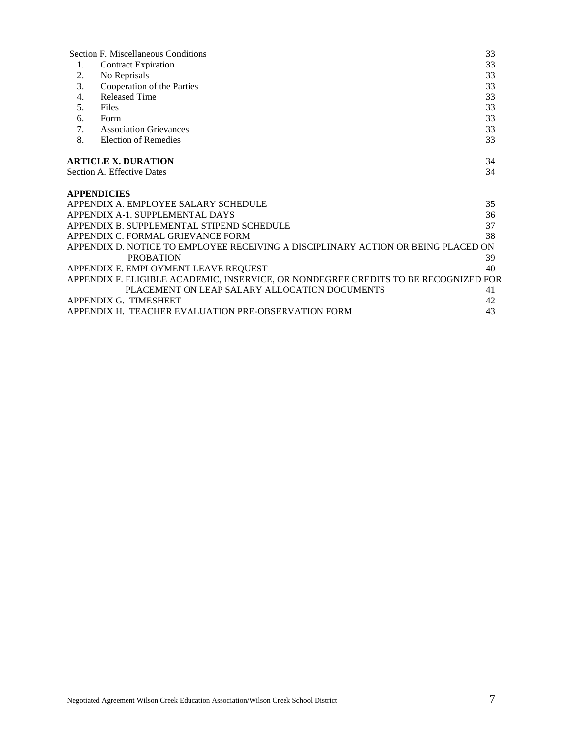|    | <b>Section F. Miscellaneous Conditions</b>                                          | 33       |
|----|-------------------------------------------------------------------------------------|----------|
|    | <b>Contract Expiration</b>                                                          | 33       |
| 2. | No Reprisals                                                                        | 33       |
| 3. | Cooperation of the Parties                                                          | 33       |
| 4. | <b>Released Time</b>                                                                | 33       |
| 5. | Files                                                                               | 33       |
| 6. | Form                                                                                | 33       |
| 7. | <b>Association Grievances</b>                                                       | 33       |
| 8. | <b>Election of Remedies</b>                                                         | 33       |
|    | <b>ARTICLE X. DURATION</b><br>Section A. Effective Dates                            | 34<br>34 |
|    | <b>APPENDICIES</b><br>APPENDIX A. EMPLOYEE SALARY SCHEDULE                          | 35       |
|    | APPENDIX A-1. SUPPLEMENTAL DAYS                                                     | 36       |
|    | APPENDIX B. SUPPLEMENTAL STIPEND SCHEDULE                                           | 37       |
|    | APPENDIX C. FORMAL GRIEVANCE FORM                                                   | 38       |
|    | APPENDIX D. NOTICE TO EMPLOYEE RECEIVING A DISCIPLINARY ACTION OR BEING PLACED ON   |          |
|    | <b>PROBATION</b>                                                                    | 39       |
|    | APPENDIX E. EMPLOYMENT LEAVE REQUEST                                                | 40       |
|    | APPENDIX F. ELIGIBLE ACADEMIC, INSERVICE, OR NONDEGREE CREDITS TO BE RECOGNIZED FOR |          |

| APPENDIX G. TIMESHEET |                                                     |  |
|-----------------------|-----------------------------------------------------|--|
|                       | APPENDIX H. TEACHER EVALUATION PRE-OBSERVATION FORM |  |

PLACEMENT ON LEAP SALARY ALLOCATION DOCUMENTS 41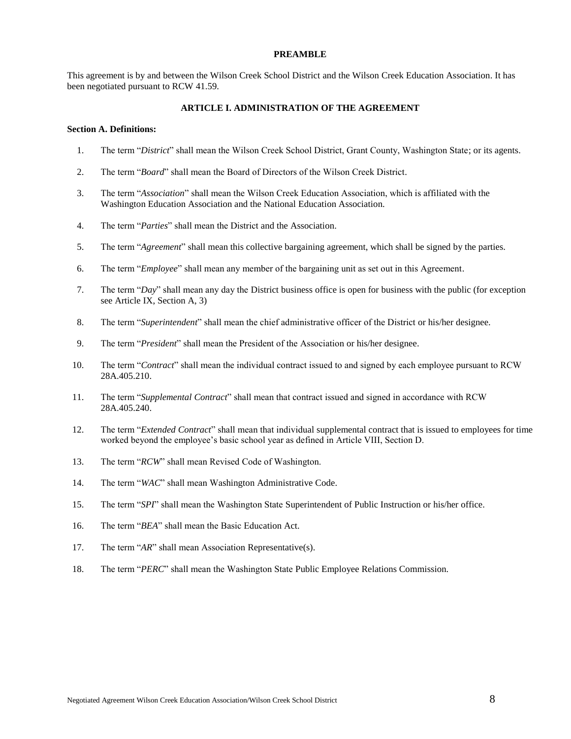#### **PREAMBLE**

This agreement is by and between the Wilson Creek School District and the Wilson Creek Education Association. It has been negotiated pursuant to RCW 41.59.

# **ARTICLE I. ADMINISTRATION OF THE AGREEMENT**

#### **Section A. Definitions:**

- 1. The term "*District*" shall mean the Wilson Creek School District, Grant County, Washington State; or its agents.
- 2. The term "*Board*" shall mean the Board of Directors of the Wilson Creek District.
- 3. The term "*Association*" shall mean the Wilson Creek Education Association, which is affiliated with the Washington Education Association and the National Education Association.
- 4. The term "*Parties*" shall mean the District and the Association.
- 5. The term "*Agreement*" shall mean this collective bargaining agreement, which shall be signed by the parties.
- 6. The term "*Employee*" shall mean any member of the bargaining unit as set out in this Agreement.
- 7. The term "*Day*" shall mean any day the District business office is open for business with the public (for exception see Article IX, Section A, 3)
- 8. The term "*Superintendent*" shall mean the chief administrative officer of the District or his/her designee.
- 9. The term "*President*" shall mean the President of the Association or his/her designee.
- 10. The term "*Contract*" shall mean the individual contract issued to and signed by each employee pursuant to RCW 28A.405.210.
- 11. The term "*Supplemental Contract*" shall mean that contract issued and signed in accordance with RCW 28A.405.240.
- 12. The term "*Extended Contract*" shall mean that individual supplemental contract that is issued to employees for time worked beyond the employee's basic school year as defined in Article VIII, Section D.
- 13. The term "*RCW*" shall mean Revised Code of Washington.
- 14. The term "*WAC*" shall mean Washington Administrative Code.
- 15. The term "*SPI*" shall mean the Washington State Superintendent of Public Instruction or his/her office.
- 16. The term "*BEA*" shall mean the Basic Education Act.
- 17. The term "*AR*" shall mean Association Representative(s).
- 18. The term "*PERC*" shall mean the Washington State Public Employee Relations Commission.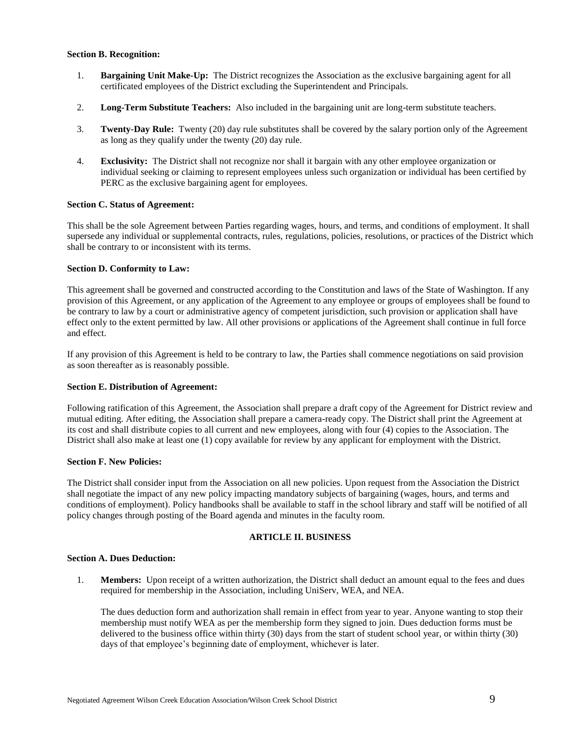# **Section B. Recognition:**

- 1. **Bargaining Unit Make-Up:** The District recognizes the Association as the exclusive bargaining agent for all certificated employees of the District excluding the Superintendent and Principals.
- 2. **Long-Term Substitute Teachers:** Also included in the bargaining unit are long-term substitute teachers.
- 3. **Twenty-Day Rule:** Twenty (20) day rule substitutes shall be covered by the salary portion only of the Agreement as long as they qualify under the twenty (20) day rule.
- 4. **Exclusivity:** The District shall not recognize nor shall it bargain with any other employee organization or individual seeking or claiming to represent employees unless such organization or individual has been certified by PERC as the exclusive bargaining agent for employees.

#### **Section C. Status of Agreement:**

This shall be the sole Agreement between Parties regarding wages, hours, and terms, and conditions of employment. It shall supersede any individual or supplemental contracts, rules, regulations, policies, resolutions, or practices of the District which shall be contrary to or inconsistent with its terms.

# **Section D. Conformity to Law:**

This agreement shall be governed and constructed according to the Constitution and laws of the State of Washington. If any provision of this Agreement, or any application of the Agreement to any employee or groups of employees shall be found to be contrary to law by a court or administrative agency of competent jurisdiction, such provision or application shall have effect only to the extent permitted by law. All other provisions or applications of the Agreement shall continue in full force and effect.

If any provision of this Agreement is held to be contrary to law, the Parties shall commence negotiations on said provision as soon thereafter as is reasonably possible.

#### **Section E. Distribution of Agreement:**

Following ratification of this Agreement, the Association shall prepare a draft copy of the Agreement for District review and mutual editing. After editing, the Association shall prepare a camera-ready copy. The District shall print the Agreement at its cost and shall distribute copies to all current and new employees, along with four (4) copies to the Association. The District shall also make at least one (1) copy available for review by any applicant for employment with the District.

#### **Section F. New Policies:**

The District shall consider input from the Association on all new policies. Upon request from the Association the District shall negotiate the impact of any new policy impacting mandatory subjects of bargaining (wages, hours, and terms and conditions of employment). Policy handbooks shall be available to staff in the school library and staff will be notified of all policy changes through posting of the Board agenda and minutes in the faculty room.

#### **ARTICLE II. BUSINESS**

#### **Section A. Dues Deduction:**

1. **Members:** Upon receipt of a written authorization, the District shall deduct an amount equal to the fees and dues required for membership in the Association, including UniServ, WEA, and NEA.

The dues deduction form and authorization shall remain in effect from year to year. Anyone wanting to stop their membership must notify WEA as per the membership form they signed to join. Dues deduction forms must be delivered to the business office within thirty (30) days from the start of student school year, or within thirty (30) days of that employee's beginning date of employment, whichever is later.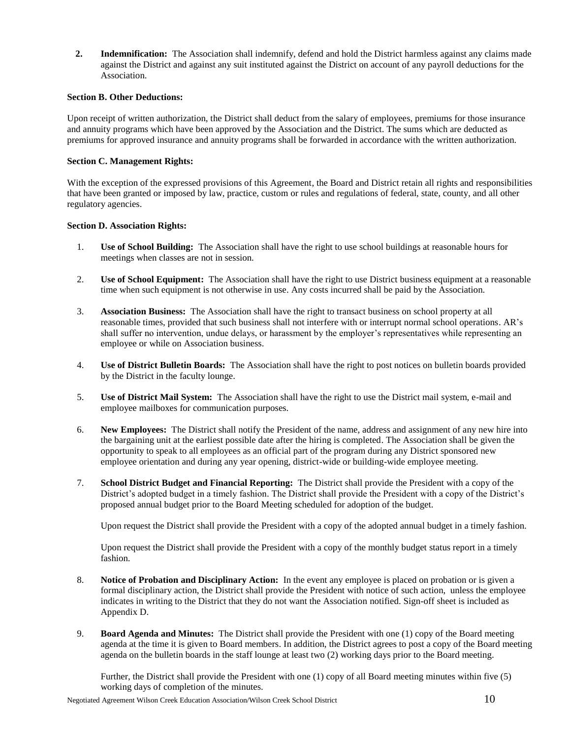**2. Indemnification:** The Association shall indemnify, defend and hold the District harmless against any claims made against the District and against any suit instituted against the District on account of any payroll deductions for the Association.

# **Section B. Other Deductions:**

Upon receipt of written authorization, the District shall deduct from the salary of employees, premiums for those insurance and annuity programs which have been approved by the Association and the District. The sums which are deducted as premiums for approved insurance and annuity programs shall be forwarded in accordance with the written authorization.

# **Section C. Management Rights:**

With the exception of the expressed provisions of this Agreement, the Board and District retain all rights and responsibilities that have been granted or imposed by law, practice, custom or rules and regulations of federal, state, county, and all other regulatory agencies.

# **Section D. Association Rights:**

- 1. **Use of School Building:** The Association shall have the right to use school buildings at reasonable hours for meetings when classes are not in session.
- 2. **Use of School Equipment:** The Association shall have the right to use District business equipment at a reasonable time when such equipment is not otherwise in use. Any costs incurred shall be paid by the Association.
- 3. **Association Business:** The Association shall have the right to transact business on school property at all reasonable times, provided that such business shall not interfere with or interrupt normal school operations. AR's shall suffer no intervention, undue delays, or harassment by the employer's representatives while representing an employee or while on Association business.
- 4. **Use of District Bulletin Boards:** The Association shall have the right to post notices on bulletin boards provided by the District in the faculty lounge.
- 5. **Use of District Mail System:** The Association shall have the right to use the District mail system, e-mail and employee mailboxes for communication purposes.
- 6. **New Employees:** The District shall notify the President of the name, address and assignment of any new hire into the bargaining unit at the earliest possible date after the hiring is completed. The Association shall be given the opportunity to speak to all employees as an official part of the program during any District sponsored new employee orientation and during any year opening, district-wide or building-wide employee meeting.
- 7. **School District Budget and Financial Reporting:** The District shall provide the President with a copy of the District's adopted budget in a timely fashion. The District shall provide the President with a copy of the District's proposed annual budget prior to the Board Meeting scheduled for adoption of the budget.

Upon request the District shall provide the President with a copy of the adopted annual budget in a timely fashion.

Upon request the District shall provide the President with a copy of the monthly budget status report in a timely fashion.

- 8. **Notice of Probation and Disciplinary Action:** In the event any employee is placed on probation or is given a formal disciplinary action, the District shall provide the President with notice of such action, unless the employee indicates in writing to the District that they do not want the Association notified. Sign-off sheet is included as Appendix D.
- 9. **Board Agenda and Minutes:** The District shall provide the President with one (1) copy of the Board meeting agenda at the time it is given to Board members. In addition, the District agrees to post a copy of the Board meeting agenda on the bulletin boards in the staff lounge at least two (2) working days prior to the Board meeting.

Further, the District shall provide the President with one (1) copy of all Board meeting minutes within five (5) working days of completion of the minutes.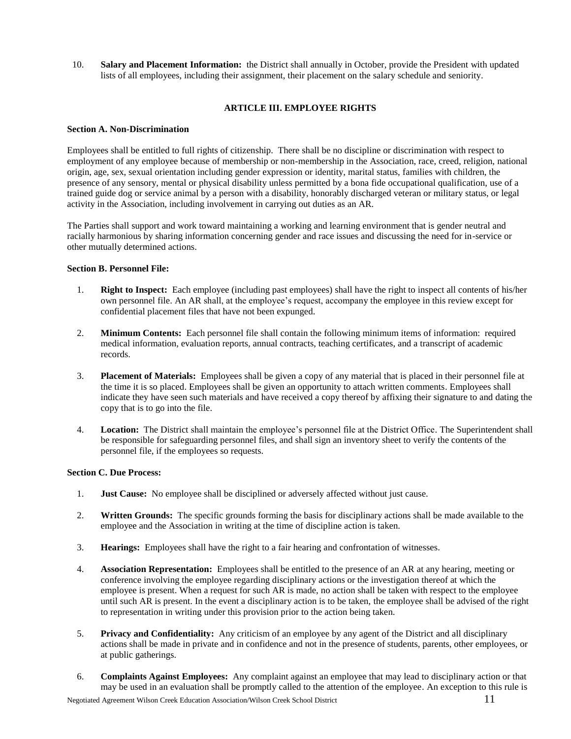10. **Salary and Placement Information:** the District shall annually in October, provide the President with updated lists of all employees, including their assignment, their placement on the salary schedule and seniority.

# **ARTICLE III. EMPLOYEE RIGHTS**

# **Section A. Non-Discrimination**

Employees shall be entitled to full rights of citizenship. There shall be no discipline or discrimination with respect to employment of any employee because of membership or non-membership in the Association, race, creed, religion, national origin, age, sex, sexual orientation including gender expression or identity, marital status, families with children, the presence of any sensory, mental or physical disability unless permitted by a bona fide occupational qualification, use of a trained guide dog or service animal by a person with a disability, honorably discharged veteran or military status, or legal activity in the Association, including involvement in carrying out duties as an AR.

The Parties shall support and work toward maintaining a working and learning environment that is gender neutral and racially harmonious by sharing information concerning gender and race issues and discussing the need for in-service or other mutually determined actions.

# **Section B. Personnel File:**

- 1. **Right to Inspect:** Each employee (including past employees) shall have the right to inspect all contents of his/her own personnel file. An AR shall, at the employee's request, accompany the employee in this review except for confidential placement files that have not been expunged.
- 2. **Minimum Contents:** Each personnel file shall contain the following minimum items of information: required medical information, evaluation reports, annual contracts, teaching certificates, and a transcript of academic records.
- 3. **Placement of Materials:** Employees shall be given a copy of any material that is placed in their personnel file at the time it is so placed. Employees shall be given an opportunity to attach written comments. Employees shall indicate they have seen such materials and have received a copy thereof by affixing their signature to and dating the copy that is to go into the file.
- 4. **Location:** The District shall maintain the employee's personnel file at the District Office. The Superintendent shall be responsible for safeguarding personnel files, and shall sign an inventory sheet to verify the contents of the personnel file, if the employees so requests.

#### **Section C. Due Process:**

- 1. **Just Cause:** No employee shall be disciplined or adversely affected without just cause.
- 2. **Written Grounds:** The specific grounds forming the basis for disciplinary actions shall be made available to the employee and the Association in writing at the time of discipline action is taken.
- 3. **Hearings:** Employees shall have the right to a fair hearing and confrontation of witnesses.
- 4. **Association Representation:** Employees shall be entitled to the presence of an AR at any hearing, meeting or conference involving the employee regarding disciplinary actions or the investigation thereof at which the employee is present. When a request for such AR is made, no action shall be taken with respect to the employee until such AR is present. In the event a disciplinary action is to be taken, the employee shall be advised of the right to representation in writing under this provision prior to the action being taken.
- 5. **Privacy and Confidentiality:** Any criticism of an employee by any agent of the District and all disciplinary actions shall be made in private and in confidence and not in the presence of students, parents, other employees, or at public gatherings.
- 6. **Complaints Against Employees:** Any complaint against an employee that may lead to disciplinary action or that may be used in an evaluation shall be promptly called to the attention of the employee. An exception to this rule is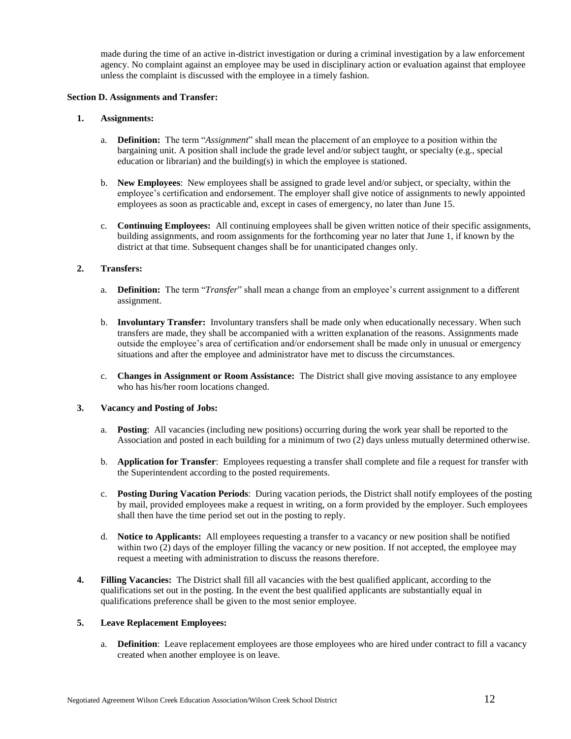made during the time of an active in-district investigation or during a criminal investigation by a law enforcement agency. No complaint against an employee may be used in disciplinary action or evaluation against that employee unless the complaint is discussed with the employee in a timely fashion.

#### **Section D. Assignments and Transfer:**

# **1. Assignments:**

- a. **Definition:** The term "*Assignment*" shall mean the placement of an employee to a position within the bargaining unit. A position shall include the grade level and/or subject taught, or specialty (e.g., special education or librarian) and the building(s) in which the employee is stationed.
- b. **New Employees**: New employees shall be assigned to grade level and/or subject, or specialty, within the employee's certification and endorsement. The employer shall give notice of assignments to newly appointed employees as soon as practicable and, except in cases of emergency, no later than June 15.
- c. **Continuing Employees:** All continuing employees shall be given written notice of their specific assignments, building assignments, and room assignments for the forthcoming year no later that June 1, if known by the district at that time. Subsequent changes shall be for unanticipated changes only.

# **2. Transfers:**

- a. **Definition:** The term "*Transfer*" shall mean a change from an employee's current assignment to a different assignment.
- b. **Involuntary Transfer:** Involuntary transfers shall be made only when educationally necessary. When such transfers are made, they shall be accompanied with a written explanation of the reasons. Assignments made outside the employee's area of certification and/or endorsement shall be made only in unusual or emergency situations and after the employee and administrator have met to discuss the circumstances.
- c. **Changes in Assignment or Room Assistance:** The District shall give moving assistance to any employee who has his/her room locations changed.

# **3. Vacancy and Posting of Jobs:**

- a. **Posting**: All vacancies (including new positions) occurring during the work year shall be reported to the Association and posted in each building for a minimum of two (2) days unless mutually determined otherwise.
- b. **Application for Transfer**: Employees requesting a transfer shall complete and file a request for transfer with the Superintendent according to the posted requirements.
- c. **Posting During Vacation Periods**: During vacation periods, the District shall notify employees of the posting by mail, provided employees make a request in writing, on a form provided by the employer. Such employees shall then have the time period set out in the posting to reply.
- d. **Notice to Applicants:** All employees requesting a transfer to a vacancy or new position shall be notified within two (2) days of the employer filling the vacancy or new position. If not accepted, the employee may request a meeting with administration to discuss the reasons therefore.
- **4. Filling Vacancies:** The District shall fill all vacancies with the best qualified applicant, according to the qualifications set out in the posting. In the event the best qualified applicants are substantially equal in qualifications preference shall be given to the most senior employee.

# **5. Leave Replacement Employees:**

a. **Definition**: Leave replacement employees are those employees who are hired under contract to fill a vacancy created when another employee is on leave.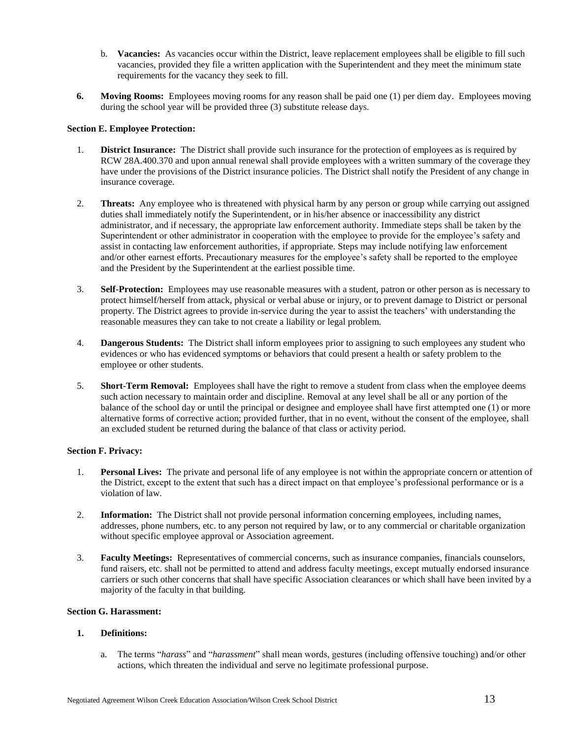- b. **Vacancies:** As vacancies occur within the District, leave replacement employees shall be eligible to fill such vacancies, provided they file a written application with the Superintendent and they meet the minimum state requirements for the vacancy they seek to fill.
- **6. Moving Rooms:** Employees moving rooms for any reason shall be paid one (1) per diem day. Employees moving during the school year will be provided three (3) substitute release days.

# **Section E. Employee Protection:**

- 1. **District Insurance:** The District shall provide such insurance for the protection of employees as is required by RCW 28A.400.370 and upon annual renewal shall provide employees with a written summary of the coverage they have under the provisions of the District insurance policies. The District shall notify the President of any change in insurance coverage.
- 2. **Threats:** Any employee who is threatened with physical harm by any person or group while carrying out assigned duties shall immediately notify the Superintendent, or in his/her absence or inaccessibility any district administrator, and if necessary, the appropriate law enforcement authority. Immediate steps shall be taken by the Superintendent or other administrator in cooperation with the employee to provide for the employee's safety and assist in contacting law enforcement authorities, if appropriate. Steps may include notifying law enforcement and/or other earnest efforts. Precautionary measures for the employee's safety shall be reported to the employee and the President by the Superintendent at the earliest possible time.
- 3. **Self-Protection:** Employees may use reasonable measures with a student, patron or other person as is necessary to protect himself/herself from attack, physical or verbal abuse or injury, or to prevent damage to District or personal property. The District agrees to provide in-service during the year to assist the teachers' with understanding the reasonable measures they can take to not create a liability or legal problem.
- 4. **Dangerous Students:** The District shall inform employees prior to assigning to such employees any student who evidences or who has evidenced symptoms or behaviors that could present a health or safety problem to the employee or other students.
- 5. **Short-Term Removal:** Employees shall have the right to remove a student from class when the employee deems such action necessary to maintain order and discipline. Removal at any level shall be all or any portion of the balance of the school day or until the principal or designee and employee shall have first attempted one (1) or more alternative forms of corrective action; provided further, that in no event, without the consent of the employee, shall an excluded student be returned during the balance of that class or activity period.

# **Section F. Privacy:**

- 1. **Personal Lives:** The private and personal life of any employee is not within the appropriate concern or attention of the District, except to the extent that such has a direct impact on that employee's professional performance or is a violation of law.
- 2. **Information:** The District shall not provide personal information concerning employees, including names, addresses, phone numbers, etc. to any person not required by law, or to any commercial or charitable organization without specific employee approval or Association agreement.
- 3. **Faculty Meetings:** Representatives of commercial concerns, such as insurance companies, financials counselors, fund raisers, etc. shall not be permitted to attend and address faculty meetings, except mutually endorsed insurance carriers or such other concerns that shall have specific Association clearances or which shall have been invited by a majority of the faculty in that building.

# **Section G. Harassment:**

# **1. Definitions:**

a. The terms "*harass*" and "*harassment*" shall mean words, gestures (including offensive touching) and/or other actions, which threaten the individual and serve no legitimate professional purpose.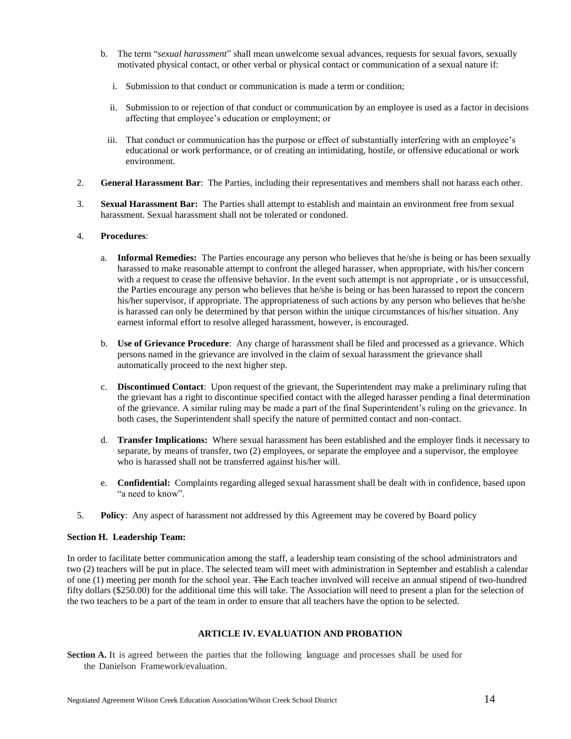- b. The term "*sexual harassment*" shall mean unwelcome sexual advances, requests for sexual favors, sexually motivated physical contact, or other verbal or physical contact or communication of a sexual nature if:
	- i. Submission to that conduct or communication is made a term or condition;
	- ii. Submission to or rejection of that conduct or communication by an employee is used as a factor in decisions affecting that employee's education or employment; or
	- iii. That conduct or communication has the purpose or effect of substantially interfering with an employee's educational or work performance, or of creating an intimidating, hostile, or offensive educational or work environment.
- 2. **General Harassment Bar**: The Parties, including their representatives and members shall not harass each other.
- 3. **Sexual Harassment Bar:** The Parties shall attempt to establish and maintain an environment free from sexual harassment. Sexual harassment shall not be tolerated or condoned.

# 4. **Procedures**:

- a. **Informal Remedies:** The Parties encourage any person who believes that he/she is being or has been sexually harassed to make reasonable attempt to confront the alleged harasser, when appropriate, with his/her concern with a request to cease the offensive behavior. In the event such attempt is not appropriate, or is unsuccessful, the Parties encourage any person who believes that he/she is being or has been harassed to report the concern his/her supervisor, if appropriate. The appropriateness of such actions by any person who believes that he/she is harassed can only be determined by that person within the unique circumstances of his/her situation. Any earnest informal effort to resolve alleged harassment, however, is encouraged.
- b. **Use of Grievance Procedure**: Any charge of harassment shall be filed and processed as a grievance. Which persons named in the grievance are involved in the claim of sexual harassment the grievance shall automatically proceed to the next higher step.
- c. **Discontinued Contact**: Upon request of the grievant, the Superintendent may make a preliminary ruling that the grievant has a right to discontinue specified contact with the alleged harasser pending a final determination of the grievance. A similar ruling may be made a part of the final Superintendent's ruling on the grievance. In both cases, the Superintendent shall specify the nature of permitted contact and non-contact.
- d. **Transfer Implications:** Where sexual harassment has been established and the employer finds it necessary to separate, by means of transfer, two (2) employees, or separate the employee and a supervisor, the employee who is harassed shall not be transferred against his/her will.
- e. **Confidential:** Complaints regarding alleged sexual harassment shall be dealt with in confidence, based upon "a need to know".
- 5. **Policy**: Any aspect of harassment not addressed by this Agreement may be covered by Board policy

#### **Section H. Leadership Team:**

In order to facilitate better communication among the staff, a leadership team consisting of the school administrators and two (2) teachers will be put in place. The selected team will meet with administration in September and establish a calendar of one (1) meeting per month for the school year. The Each teacher involved will receive an annual stipend of two-hundred fifty dollars (\$250.00) for the additional time this will take. The Association will need to present a plan for the selection of the two teachers to be a part of the team in order to ensure that all teachers have the option to be selected.

# **ARTICLE IV. EVALUATION AND PROBATION**

**Section A.** It is agreed between the parties that the following language and processes shall be used for the Danielson Framework/evaluation.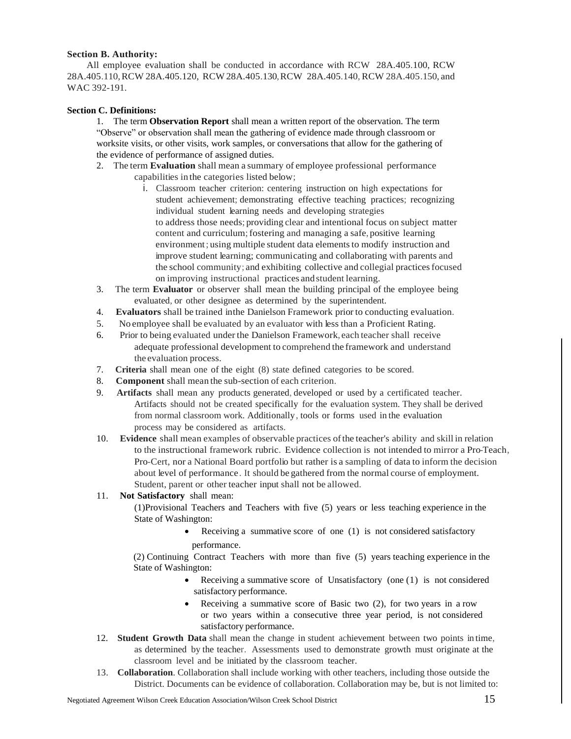# **Section B. Authority:**

 All employee evaluation shall be conducted in accordance with RCW 28A.405.100, RCW 28A.405.110,RCW 28A.405.120, RCW 28A.405.130,RCW 28A.405.140, RCW 28A.405.150, and WAC 392-191.

# **Section C. Definitions:**

1. The term **Observation Report** shall mean a written report of the observation. The term "Observe" or observation shall mean the gathering of evidence made through classroom or worksite visits, or other visits, work samples, or conversations that allow for the gathering of the evidence of performance of assigned duties.

- 2. The term **Evaluation** shall mean a summary of employee professional performance capabilities in the categories listed below;
	- i. Classroom teacher criterion: centering instruction on high expectations for student achievement; demonstrating effective teaching practices; recognizing individual student learning needs and developing strategies to address those needs; providing clear and intentional focus on subject matter content and curriculum;fostering and managing a safe, positive learning environment; using multiple student data elements to modify instruction and improve student learning; communicating and collaborating with parents and the school community; and exhibiting collective and collegial practices focused on improving instructional practices andstudent learning.
- 3. The term **Evaluator** or observer shall mean the building principal of the employee being evaluated, or other designee as determined by the superintendent.
- 4. **Evaluators** shall be trained inthe Danielson Framework prior to conducting evaluation.
- 5. No employee shall be evaluated by an evaluator with less than a Proficient Rating.
- 6. Prior to being evaluated under the Danielson Framework, each teacher shall receive adequate professional development to comprehend the framework and understand the evaluation process.
- 7. **Criteria** shall mean one of the eight (8) state defined categories to be scored.
- 8. **Component** shall mean the sub-section of each criterion.
- 9. **Artifacts** shall mean any products generated, developed or used by a certificated teacher. Artifacts should not be created specifically for the evaluation system. They shall be derived from normal classroom work. Additionally, tools or forms used in the evaluation process may be considered as artifacts.
- 10. **Evidence** shall mean examples of observable practices ofthe teacher's ability and skill in relation to the instructional framework rubric. Evidence collection is not intended to mirror a Pro-Teach, Pro-Cert, nor a National Board portfolio but rather is a sampling of data to inform the decision about level of performance. It should be gathered from the normal course of employment. Student, parent or other teacher input shall not be allowed.

# 11. **Not Satisfactory** shall mean:

(1)Provisional Teachers and Teachers with five (5) years or less teaching experience in the State of Washington:

> Receiving a summative score of one (1) is not considered satisfactory performance.

(2) Continuing Contract Teachers with more than five (5) years teaching experience in the State of Washington:

- Receiving a summative score of Unsatisfactory (one (1) is not considered satisfactory performance.
- Receiving a summative score of Basic two (2), for two years in a row or two years within a consecutive three year period, is not considered satisfactory performance.
- 12. **Student Growth Data** shall mean the change in student achievement between two points in time, as determined by the teacher. Assessments used to demonstrate growth must originate at the classroom level and be initiated by the classroom teacher.
- 13. **Collaboration**. Collaboration shall include working with other teachers, including those outside the District. Documents can be evidence of collaboration. Collaboration may be, but is not limited to: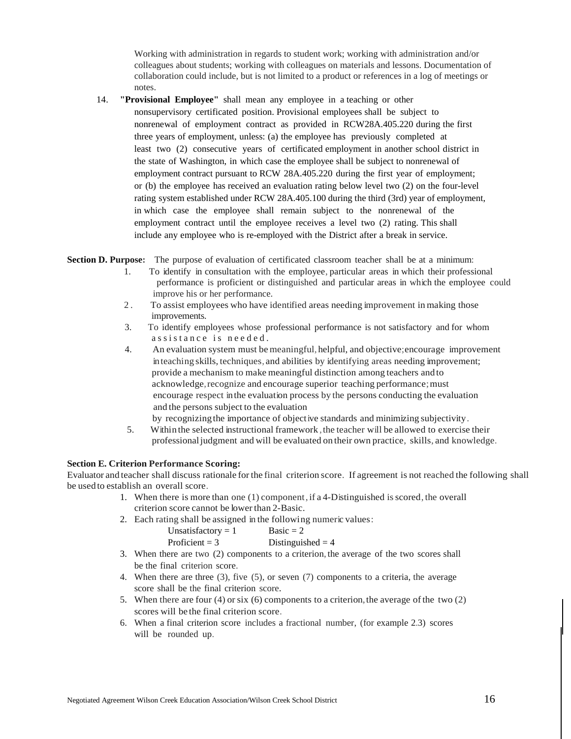Working with administration in regards to student work; working with administration and/or colleagues about students; working with colleagues on materials and lessons. Documentation of collaboration could include, but is not limited to a product or references in a log of meetings or notes.

14. **"Provisional Employee"** shall mean any employee in a teaching or other nonsupervisory certificated position. Provisional employees shall be subject to nonrenewal of employment contract as provided in RCW28A.405.220 during the first three years of employment, unless: (a) the employee has previously completed at least two (2) consecutive years of certificated employment in another school district in the state of Washington, in which case the employee shall be subject to nonrenewal of employment contract pursuant to RCW 28A.405.220 during the first year of employment; or (b) the employee has received an evaluation rating below level two (2) on the four-level rating system established under RCW 28A.405.100 during the third (3rd) year of employment, in which case the employee shall remain subject to the nonrenewal of the employment contract until the employee receives a level two (2) rating. This shall include any employee who is re-employed with the District after a break in service.

**Section D. Purpose:** The purpose of evaluation of certificated classroom teacher shall be at a minimum:

- 1. To identify in consultation with the employee, particular areas in which their professional performance is proficient or distinguished and particular areas in which the employee could improve his or her performance.
- 2 . To assist employees who have identified areas needing improvement in making those improvements.
- 3. To identify employees whose professional performance is not satisfactory and for whom assistance is needed.
- 4. An evaluation system must be meaningful,helpful, and objective;encourage improvement inteaching skills, techniques, and abilities by identifying areas needing improvement; provide a mechanism to make meaningful distinction among teachers andto acknowledge,recognize and encourage superior teaching performance;must encourage respect inthe evaluation process by the persons conducting the evaluation and the persons subject to the evaluation
	- by recognizingthe importance of objective standards and minimizing subjectivity.
- 5. Within the selected instructional framework ,the teacher will be allowed to exercise their professionaljudgment and will be evaluated on their own practice, skills, and knowledge.

# **Section E. Criterion Performance Scoring:**

Evaluator and teacher shall discuss rationale for the final criterion score. If agreement is not reached the following shall be usedto establish an overall score.

- 1. When there is more than one (1) component,if a 4-Distinguished isscored, the overall criterion score cannot be lower than 2-Basic.
- 2. Each rating shall be assigned in the following numeric values:

- 3. When there are two (2) components to a criterion, the average of the two scores shall be the final criterion score.
- 4. When there are three (3), five (5), or seven (7) components to a criteria, the average score shall be the final criterion score.
- 5. When there are four (4) or six (6) components to a criterion, the average of the two  $(2)$ scores will be the final criterion score.
- 6. When a final criterion score includes a fractional number, (for example 2.3) scores will be rounded up.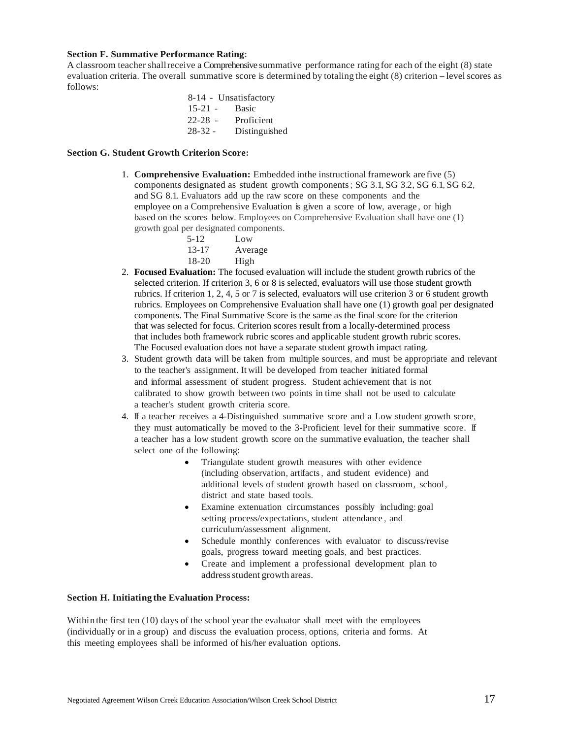#### **Section F. Summative Performance Rating:**

A classroom teacher shallreceive a Comprehensive summative performance ratingfor each of the eight (8) state evaluation criteria. The overall summative score is determined by totaling the eight (8) criterion -levelscores as follows:

8-14 - Unsatisfactory 15-21 - Basic 22-28 - Proficient 28-32 - Distinguished

# **Section G. Student Growth Criterion Score:**

- 1. **Comprehensive Evaluation:** Embedded inthe instructional framework are five (5) components designated as student growth components; SG 3.1, SG 3.2, SG 6.1, SG 6.2, and SG 8.1. Evaluators add up the raw score on these components and the employee on a Comprehensive Evaluation is given a score of low, average , or high based on the scores below. Employees on Comprehensive Evaluation shall have one (1) growth goal per designated components.
	- 5-12 Low 13-17 Average 18-20 High
- 2. **Focused Evaluation:** The focused evaluation will include the student growth rubrics of the selected criterion. If criterion 3, 6 or 8 is selected, evaluators will use those student growth rubrics. If criterion 1, 2, 4, 5 or 7 is selected, evaluators will use criterion 3 or 6 student growth rubrics. Employees on Comprehensive Evaluation shall have one (1) growth goal per designated components. The Final Summative Score is the same as the final score for the criterion that was selected for focus. Criterion scores result from a locally-determined process that includes both framework rubric scores and applicable student growth rubric scores. The Focused evaluation does not have a separate student growth impact rating.
- 3. Student growth data will be taken from multiple sources, and must be appropriate and relevant to the teacher's assignment. It will be developed from teacher initiated formal and informal assessment of student progress. Student achievement that is not calibrated to show growth between two points in time shall not be used to calculate a teacher's student growth criteria score.
- 4. If a teacher receives a 4-Distinguished summative score and a Low student growth score, they must automatically be moved to the 3-Proficient level for their summative score. If a teacher has a low student growth score on the summative evaluation, the teacher shall select one of the following:
	- Triangulate student growth measures with other evidence (including observation, artifacts, and student evidence) and additional levels of student growth based on classroom, school, district and state based tools.
	- Examine extenuation circumstances possibly including: goal setting process/expectations, student attendance , and curriculum/assessment alignment.
	- Schedule monthly conferences with evaluator to discuss/revise goals, progress toward meeting goals, and best practices.
	- Create and implement a professional development plan to address student growth areas.

# **Section H. Initiating the Evaluation Process:**

Within the first ten (10) days of the school year the evaluator shall meet with the employees (individually or in a group) and discuss the evaluation process, options, criteria and forms. At this meeting employees shall be informed of his/her evaluation options.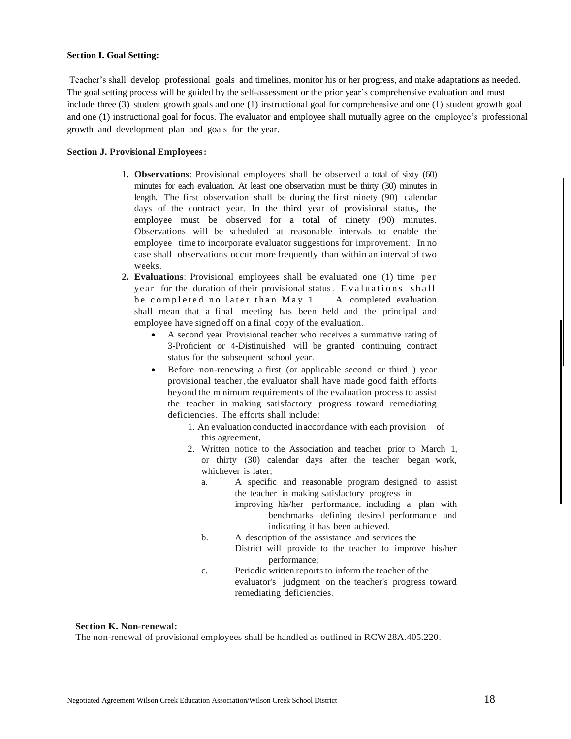#### **Section I. Goal Setting:**

Teacher's shall develop professional goals and timelines, monitor his or her progress, and make adaptations as needed. The goal setting process will be guided by the self-assessment or the prior year's comprehensive evaluation and must include three (3) student growth goals and one (1) instructional goal for comprehensive and one (1) student growth goal and one (1) instructional goal for focus. The evaluator and employee shall mutually agree on the employee's professional growth and development plan and goals for the year.

#### **Section J. Provisional Employees:**

- **1. Observations**: Provisional employees shall be observed a total of sixty (60) minutes for each evaluation. At least one observation must be thirty (30) minutes in length. The first observation shall be during the first ninety (90) calendar days of the contract year. In the third year of provisional status, the employee must be observed for a total of ninety (90) minutes. Observations will be scheduled at reasonable intervals to enable the employee time to incorporate evaluator suggestions for improvement. In no case shall observations occur more frequently than within an interval of two weeks.
- 2. **Evaluations**: Provisional employees shall be evaluated one (1) time per year for the duration of their provisional status. Evaluations shall be completed no later than May 1. A completed evaluation shall mean that a final meeting has been held and the principal and employee have signed off on a final copy of the evaluation.
	- A second year Provisional teacher who receives a summative rating of 3-Proficient or 4-Distinuished will be granted continuing contract status for the subsequent school year.
	- Before non-renewing a first (or applicable second or third ) year provisional teacher, the evaluator shall have made good faith efforts beyond the minimum requirements of the evaluation process to assist the teacher in making satisfactory progress toward remediating deficiencies. The efforts shall include:
		- 1. An evaluation conducted inaccordance with each provision of this agreement,
		- 2. Written notice to the Association and teacher prior to March 1, or thirty (30) calendar days after the teacher began work, whichever is later;
			- a. A specific and reasonable program designed to assist the teacher in making satisfactory progress in improving his/her performance, including a plan with benchmarks defining desired performance and indicating it has been achieved.
			- b. A description of the assistance and services the District will provide to the teacher to improve his/her performance;
			- c. Periodic written reports to inform the teacher of the evaluator's judgment on the teacher's progress toward remediating deficiencies.

# **Section K. Non-renewal:**

The non-renewal of provisional employees shall be handled as outlined in RCW28A.405.220.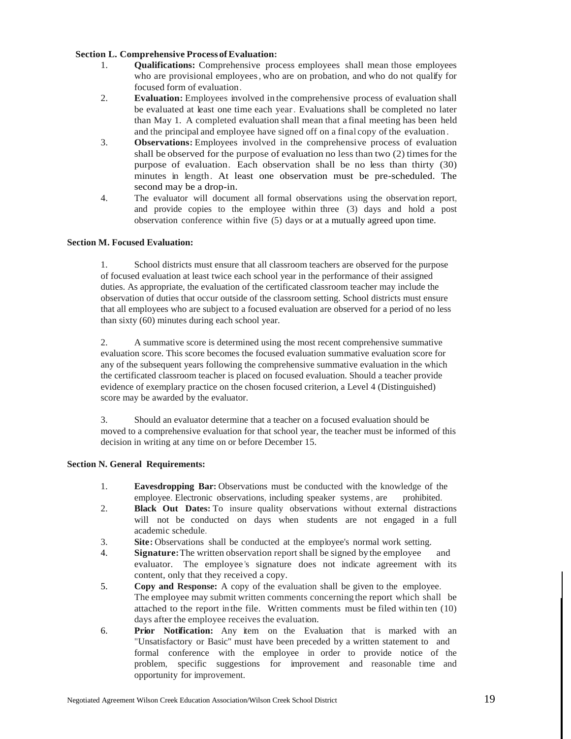# **Section L. Comprehensive ProcessofEvaluation:**

- 1. **Qualifications:** Comprehensive process employees shall mean those employees who are provisional employees, who are on probation, and who do not qualify for focused form of evaluation.
- 2. **Evaluation:** Employees involved in the comprehensive process of evaluation shall be evaluated at least one time each year. Evaluations shall be completed no later than May 1. A completed evaluation shall mean that a final meeting has been held and the principal and employee have signed off on a final copy of the evaluation .
- 3. **Observations:** Employees involved in the comprehensive process of evaluation shall be observed for the purpose of evaluation no less than two (2) timesfor the purpose of evaluation. Each observation shall be no less than thirty (30) minutes in length. At least one observation must be pre-scheduled. The second may be a drop-in.
- 4. The evaluator will document all formal observations using the observation report, and provide copies to the employee within three (3) days and hold a post observation conference within five (5) days or at a mutually agreed upon time.

# **Section M. Focused Evaluation:**

1. School districts must ensure that all classroom teachers are observed for the purpose of focused evaluation at least twice each school year in the performance of their assigned duties. As appropriate, the evaluation of the certificated classroom teacher may include the observation of duties that occur outside of the classroom setting. School districts must ensure that all employees who are subject to a focused evaluation are observed for a period of no less than sixty (60) minutes during each school year.

2. A summative score is determined using the most recent comprehensive summative evaluation score. This score becomes the focused evaluation summative evaluation score for any of the subsequent years following the comprehensive summative evaluation in the which the certificated classroom teacher is placed on focused evaluation. Should a teacher provide evidence of exemplary practice on the chosen focused criterion, a Level 4 (Distinguished) score may be awarded by the evaluator.

3. Should an evaluator determine that a teacher on a focused evaluation should be moved to a comprehensive evaluation for that school year, the teacher must be informed of this decision in writing at any time on or before December 15.

#### **Section N. General Requirements:**

- 1. **Eavesdropping Bar:** Observations must be conducted with the knowledge of the employee. Electronic observations, including speaker systems, are prohibited.
- 2. **Black Out Dates:** To insure quality observations without external distractions will not be conducted on days when students are not engaged in a full academic schedule.
- 3. **Site:** Observations shall be conducted at the employee's normal work setting.
- 4. **Signature:**The written observation report shall be signed by the employee and evaluator. The employee 's signature does not indicate agreement with its content, only that they received a copy.
- 5. **Copy and Response:** A copy of the evaluation shall be given to the employee. The employee may submit written comments concerningthe report which shall be attached to the report inthe file. Written comments must be filed within ten (10) days after the employee receives the evaluation.
- 6. **Prior Notification:** Any item on the Evaluation that is marked with an "Unsatisfactory or Basic" must have been preceded by a written statement to and formal conference with the employee in order to provide notice of the problem, specific suggestions for improvement and reasonable time and opportunity for improvement.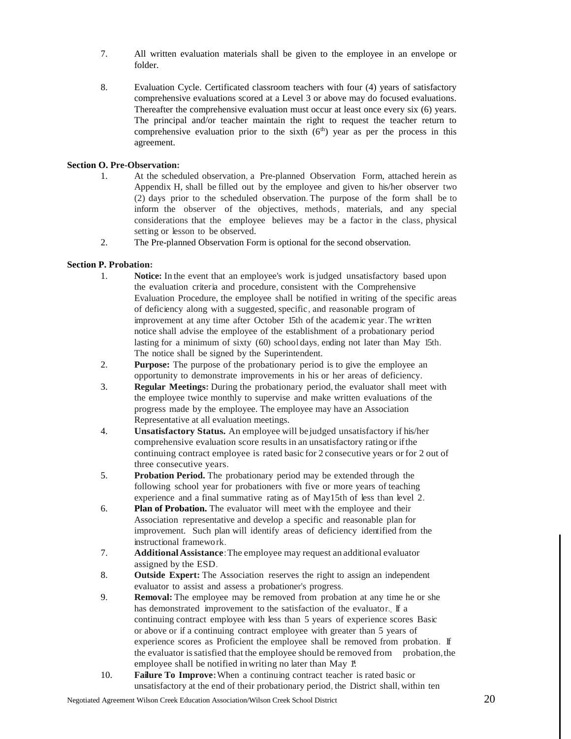- 7. All written evaluation materials shall be given to the employee in an envelope or folder.
- 8. Evaluation Cycle. Certificated classroom teachers with four (4) years of satisfactory comprehensive evaluations scored at a Level 3 or above may do focused evaluations. Thereafter the comprehensive evaluation must occur at least once every six (6) years. The principal and/or teacher maintain the right to request the teacher return to comprehensive evaluation prior to the sixth  $(6<sup>th</sup>)$  year as per the process in this agreement.

# **Section O. Pre-Observation:**

- 1. At the scheduled observation, a Pre-planned Observation Form, attached herein as Appendix H, shall be filled out by the employee and given to his/her observer two (2) days prior to the scheduled observation. The purpose of the form shall be to inform the observer of the objectives, methods, materials, and any special considerations that the employee believes may be a factor in the class, physical setting or lesson to be observed.
- 2. The Pre-planned Observation Form is optional for the second observation.

# **Section P. Probation:**

- 1. **Notice:** In the event that an employee's work isjudged unsatisfactory based upon the evaluation criteria and procedure, consistent with the Comprehensive Evaluation Procedure, the employee shall be notified in writing of the specific areas of deficiency along with a suggested, specific, and reasonable program of improvement at any time after October 15th of the academic year.The written notice shall advise the employee of the establishment of a probationary period lasting for a minimum of sixty (60) school days, ending not later than May 15th. The notice shall be signed by the Superintendent.
- 2. **Purpose:** The purpose of the probationary period is to give the employee an opportunity to demonstrate improvements in his or her areas of deficiency.
- 3. **Regular Meetings:** During the probationary period, the evaluator shall meet with the employee twice monthly to supervise and make written evaluations of the progress made by the employee. The employee may have an Association Representative at all evaluation meetings.
- 4. **Unsatisfactory Status.** An employee will bejudged unsatisfactory if his/her comprehensive evaluation score results in an unsatisfactory rating or ifthe continuing contract employee is rated basic for 2 consecutive years or for 2 out of three consecutive years.
- 5. **Probation Period.** The probationary period may be extended through the following school year for probationers with five or more years of teaching experience and a final summative rating as of May15th of less than level 2.
- 6. **Plan of Probation.** The evaluator will meet with the employee and their Association representative and develop a specific and reasonable plan for improvement. Such plan will identify areas of deficiency identified from the instructional framework.
- 7. **Additional Assistance**:The employee may request an additional evaluator assigned by the ESD.
- 8. **Outside Expert:** The Association reserves the right to assign an independent evaluator to assist and assess a probationer's progress.
- . has demonstrated improvement to the satisfaction of the evaluator. If a 9. **Removal:** The employee may be removed from probation at any time he or she continuing contract employee with less than 5 years of experience scores Basic or above or if a continuing contract employee with greater than 5 years of experience scores as Proficient the employee shall be removed from probation. If the evaluator issatisfied that the employee should be removed from probation,the employee shall be notified in writing no later than May 1.
- 10. **Failure To Improve:**When a continuing contract teacher is rated basic or unsatisfactory at the end of their probationary period, the District shall, within ten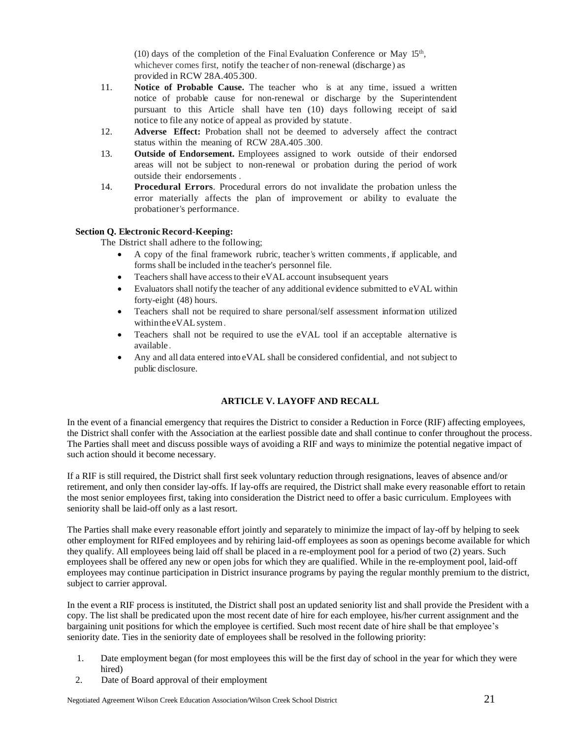(10) days of the completion of the Final Evaluation Conference or May 15<sup>th</sup>, whichever comes first, notify the teacher of non-renewal (discharge) as provided in RCW 28A.405.300.

- 11. **Notice of Probable Cause.** The teacher who is at any time, issued a written notice of probable cause for non-renewal or discharge by the Superintendent pursuant to this Article shall have ten (10) days following receipt of said notice to file any notice of appeal as provided by statute.
- 12. **Adverse Effect:** Probation shall not be deemed to adversely affect the contract status within the meaning of RCW 28A.405 .300.
- 13. **Outside of Endorsement.** Employees assigned to work outside of their endorsed areas will not be subject to non-renewal or probation during the period of work outside their endorsements .
- 14. **Procedural Errors**. Procedural errors do not invalidate the probation unless the error materially affects the plan of improvement or ability to evaluate the probationer's performance.

# **Section Q. Electronic Record-Keeping:**

The District shall adhere to the following;

- A copy of the final framework rubric, teacher's written comments, if applicable, and forms shall be included in the teacher's personnel file.
- Teachers shall have access to their eVAL account insubsequent years
- Evaluators shall notify the teacher of any additional evidence submitted to eVAL within forty-eight (48) hours.
- Teachers shall not be required to share personal/self assessment information utilized withinthe eVALsystem.
- Teachers shall not be required to use the eVAL tool if an acceptable alternative is available .
- Any and all data entered into eVAL shall be considered confidential, and notsubject to public disclosure.

# **ARTICLE V. LAYOFF AND RECALL**

In the event of a financial emergency that requires the District to consider a Reduction in Force (RIF) affecting employees, the District shall confer with the Association at the earliest possible date and shall continue to confer throughout the process. The Parties shall meet and discuss possible ways of avoiding a RIF and ways to minimize the potential negative impact of such action should it become necessary.

If a RIF is still required, the District shall first seek voluntary reduction through resignations, leaves of absence and/or retirement, and only then consider lay-offs. If lay-offs are required, the District shall make every reasonable effort to retain the most senior employees first, taking into consideration the District need to offer a basic curriculum. Employees with seniority shall be laid-off only as a last resort.

The Parties shall make every reasonable effort jointly and separately to minimize the impact of lay-off by helping to seek other employment for RIFed employees and by rehiring laid-off employees as soon as openings become available for which they qualify. All employees being laid off shall be placed in a re-employment pool for a period of two (2) years. Such employees shall be offered any new or open jobs for which they are qualified. While in the re-employment pool, laid-off employees may continue participation in District insurance programs by paying the regular monthly premium to the district, subject to carrier approval.

In the event a RIF process is instituted, the District shall post an updated seniority list and shall provide the President with a copy. The list shall be predicated upon the most recent date of hire for each employee, his/her current assignment and the bargaining unit positions for which the employee is certified. Such most recent date of hire shall be that employee's seniority date. Ties in the seniority date of employees shall be resolved in the following priority:

- 1. Date employment began (for most employees this will be the first day of school in the year for which they were hired)
- 2. Date of Board approval of their employment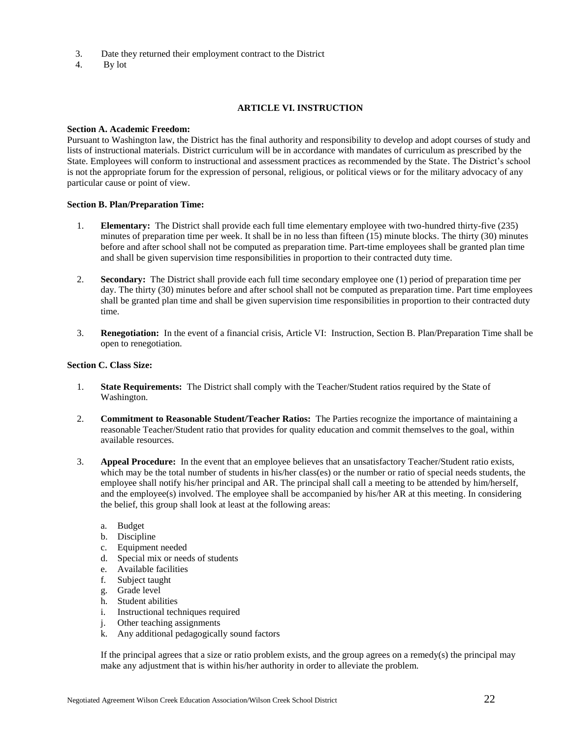- 3. Date they returned their employment contract to the District
- 4. By lot

# **ARTICLE VI. INSTRUCTION**

#### **Section A. Academic Freedom:**

Pursuant to Washington law, the District has the final authority and responsibility to develop and adopt courses of study and lists of instructional materials. District curriculum will be in accordance with mandates of curriculum as prescribed by the State. Employees will conform to instructional and assessment practices as recommended by the State. The District's school is not the appropriate forum for the expression of personal, religious, or political views or for the military advocacy of any particular cause or point of view.

# **Section B. Plan/Preparation Time:**

- 1. **Elementary:** The District shall provide each full time elementary employee with two-hundred thirty-five (235) minutes of preparation time per week. It shall be in no less than fifteen (15) minute blocks. The thirty (30) minutes before and after school shall not be computed as preparation time. Part-time employees shall be granted plan time and shall be given supervision time responsibilities in proportion to their contracted duty time.
- 2. **Secondary:** The District shall provide each full time secondary employee one (1) period of preparation time per day. The thirty (30) minutes before and after school shall not be computed as preparation time. Part time employees shall be granted plan time and shall be given supervision time responsibilities in proportion to their contracted duty time.
- 3. **Renegotiation:** In the event of a financial crisis, Article VI: Instruction, Section B. Plan/Preparation Time shall be open to renegotiation.

#### **Section C. Class Size:**

- 1. **State Requirements:** The District shall comply with the Teacher/Student ratios required by the State of Washington.
- 2. **Commitment to Reasonable Student/Teacher Ratios:** The Parties recognize the importance of maintaining a reasonable Teacher/Student ratio that provides for quality education and commit themselves to the goal, within available resources.
- 3. **Appeal Procedure:** In the event that an employee believes that an unsatisfactory Teacher/Student ratio exists, which may be the total number of students in his/her class(es) or the number or ratio of special needs students, the employee shall notify his/her principal and AR. The principal shall call a meeting to be attended by him/herself, and the employee(s) involved. The employee shall be accompanied by his/her AR at this meeting. In considering the belief, this group shall look at least at the following areas:
	- a. Budget
	- b. Discipline
	- c. Equipment needed
	- d. Special mix or needs of students
	- e. Available facilities
	- f. Subject taught
	- g. Grade level
	- h. Student abilities
	- i. Instructional techniques required
	- j. Other teaching assignments
	- k. Any additional pedagogically sound factors

If the principal agrees that a size or ratio problem exists, and the group agrees on a remedy(s) the principal may make any adjustment that is within his/her authority in order to alleviate the problem.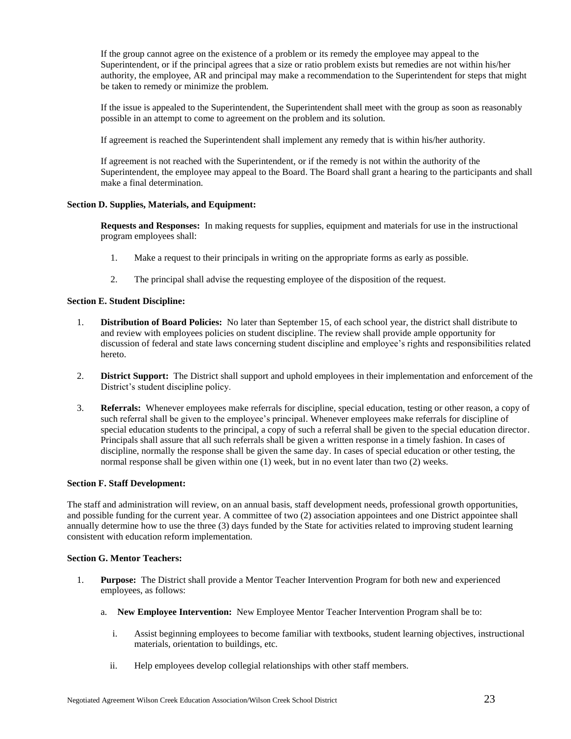If the group cannot agree on the existence of a problem or its remedy the employee may appeal to the Superintendent, or if the principal agrees that a size or ratio problem exists but remedies are not within his/her authority, the employee, AR and principal may make a recommendation to the Superintendent for steps that might be taken to remedy or minimize the problem.

If the issue is appealed to the Superintendent, the Superintendent shall meet with the group as soon as reasonably possible in an attempt to come to agreement on the problem and its solution.

If agreement is reached the Superintendent shall implement any remedy that is within his/her authority.

If agreement is not reached with the Superintendent, or if the remedy is not within the authority of the Superintendent, the employee may appeal to the Board. The Board shall grant a hearing to the participants and shall make a final determination.

# **Section D. Supplies, Materials, and Equipment:**

**Requests and Responses:** In making requests for supplies, equipment and materials for use in the instructional program employees shall:

- 1. Make a request to their principals in writing on the appropriate forms as early as possible.
- 2. The principal shall advise the requesting employee of the disposition of the request.

# **Section E. Student Discipline:**

- 1. **Distribution of Board Policies:** No later than September 15, of each school year, the district shall distribute to and review with employees policies on student discipline. The review shall provide ample opportunity for discussion of federal and state laws concerning student discipline and employee's rights and responsibilities related hereto.
- 2. **District Support:** The District shall support and uphold employees in their implementation and enforcement of the District's student discipline policy.
- 3. **Referrals:** Whenever employees make referrals for discipline, special education, testing or other reason, a copy of such referral shall be given to the employee's principal. Whenever employees make referrals for discipline of special education students to the principal, a copy of such a referral shall be given to the special education director. Principals shall assure that all such referrals shall be given a written response in a timely fashion. In cases of discipline, normally the response shall be given the same day. In cases of special education or other testing, the normal response shall be given within one (1) week, but in no event later than two (2) weeks.

# **Section F. Staff Development:**

The staff and administration will review, on an annual basis, staff development needs, professional growth opportunities, and possible funding for the current year. A committee of two (2) association appointees and one District appointee shall annually determine how to use the three (3) days funded by the State for activities related to improving student learning consistent with education reform implementation.

#### **Section G. Mentor Teachers:**

- 1. **Purpose:** The District shall provide a Mentor Teacher Intervention Program for both new and experienced employees, as follows:
	- a. **New Employee Intervention:** New Employee Mentor Teacher Intervention Program shall be to:
		- i. Assist beginning employees to become familiar with textbooks, student learning objectives, instructional materials, orientation to buildings, etc.
		- ii. Help employees develop collegial relationships with other staff members.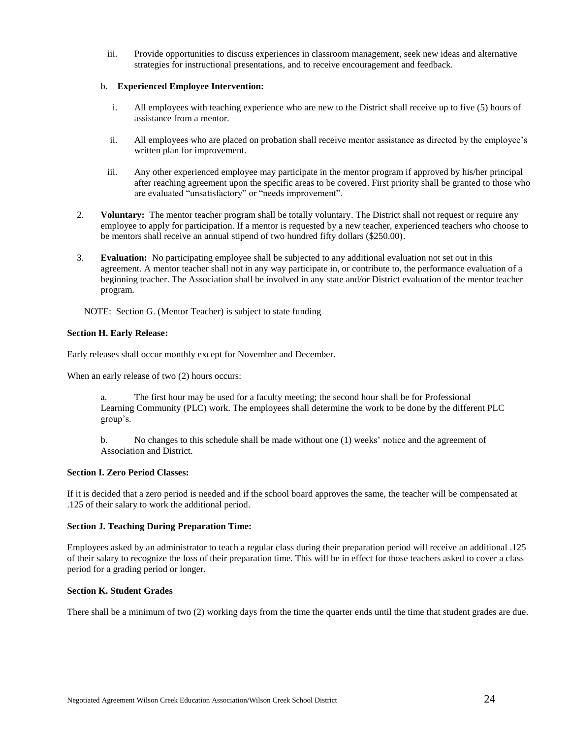iii. Provide opportunities to discuss experiences in classroom management, seek new ideas and alternative strategies for instructional presentations, and to receive encouragement and feedback.

# b. **Experienced Employee Intervention:**

- i. All employees with teaching experience who are new to the District shall receive up to five (5) hours of assistance from a mentor.
- ii. All employees who are placed on probation shall receive mentor assistance as directed by the employee's written plan for improvement.
- iii. Any other experienced employee may participate in the mentor program if approved by his/her principal after reaching agreement upon the specific areas to be covered. First priority shall be granted to those who are evaluated "unsatisfactory" or "needs improvement".
- 2. **Voluntary:** The mentor teacher program shall be totally voluntary. The District shall not request or require any employee to apply for participation. If a mentor is requested by a new teacher, experienced teachers who choose to be mentors shall receive an annual stipend of two hundred fifty dollars (\$250.00).
- 3. **Evaluation:** No participating employee shall be subjected to any additional evaluation not set out in this agreement. A mentor teacher shall not in any way participate in, or contribute to, the performance evaluation of a beginning teacher. The Association shall be involved in any state and/or District evaluation of the mentor teacher program.

NOTE: Section G. (Mentor Teacher) is subject to state funding

# **Section H. Early Release:**

Early releases shall occur monthly except for November and December.

When an early release of two (2) hours occurs:

a. The first hour may be used for a faculty meeting; the second hour shall be for Professional Learning Community (PLC) work. The employees shall determine the work to be done by the different PLC group's.

b. No changes to this schedule shall be made without one (1) weeks' notice and the agreement of Association and District.

#### **Section I. Zero Period Classes:**

If it is decided that a zero period is needed and if the school board approves the same, the teacher will be compensated at .125 of their salary to work the additional period.

#### **Section J. Teaching During Preparation Time:**

Employees asked by an administrator to teach a regular class during their preparation period will receive an additional .125 of their salary to recognize the loss of their preparation time. This will be in effect for those teachers asked to cover a class period for a grading period or longer.

# **Section K. Student Grades**

There shall be a minimum of two (2) working days from the time the quarter ends until the time that student grades are due.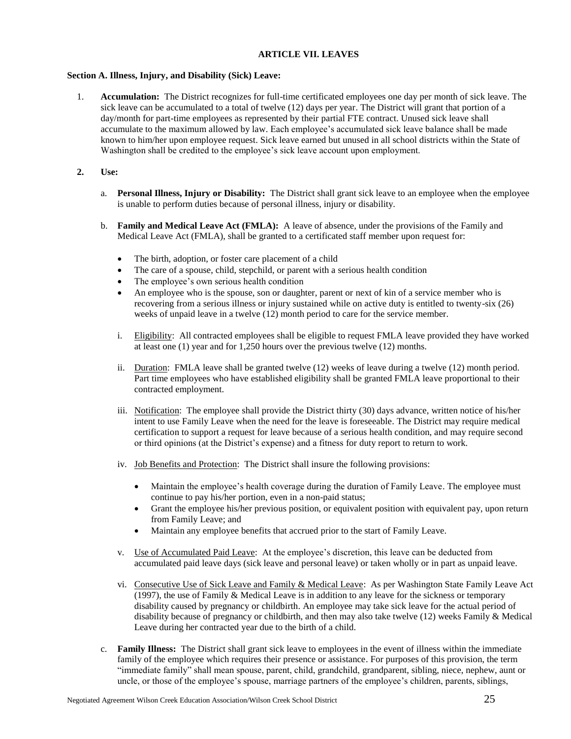# **ARTICLE VII. LEAVES**

# **Section A. Illness, Injury, and Disability (Sick) Leave:**

- 1. **Accumulation:** The District recognizes for full-time certificated employees one day per month of sick leave. The sick leave can be accumulated to a total of twelve (12) days per year. The District will grant that portion of a day/month for part-time employees as represented by their partial FTE contract. Unused sick leave shall accumulate to the maximum allowed by law. Each employee's accumulated sick leave balance shall be made known to him/her upon employee request. Sick leave earned but unused in all school districts within the State of Washington shall be credited to the employee's sick leave account upon employment.
- **2. Use:**
	- a. **Personal Illness, Injury or Disability:** The District shall grant sick leave to an employee when the employee is unable to perform duties because of personal illness, injury or disability.
	- b. **Family and Medical Leave Act (FMLA):** A leave of absence, under the provisions of the Family and Medical Leave Act (FMLA), shall be granted to a certificated staff member upon request for:
		- The birth, adoption, or foster care placement of a child
		- The care of a spouse, child, stepchild, or parent with a serious health condition
		- The employee's own serious health condition
		- An employee who is the spouse, son or daughter, parent or next of kin of a service member who is recovering from a serious illness or injury sustained while on active duty is entitled to twenty-six (26) weeks of unpaid leave in a twelve (12) month period to care for the service member.
		- i. Eligibility: All contracted employees shall be eligible to request FMLA leave provided they have worked at least one (1) year and for 1,250 hours over the previous twelve (12) months.
		- ii. Duration: FMLA leave shall be granted twelve (12) weeks of leave during a twelve (12) month period. Part time employees who have established eligibility shall be granted FMLA leave proportional to their contracted employment.
		- iii. Notification: The employee shall provide the District thirty (30) days advance, written notice of his/her intent to use Family Leave when the need for the leave is foreseeable. The District may require medical certification to support a request for leave because of a serious health condition, and may require second or third opinions (at the District's expense) and a fitness for duty report to return to work.
		- iv. Job Benefits and Protection: The District shall insure the following provisions:
			- Maintain the employee's health coverage during the duration of Family Leave. The employee must continue to pay his/her portion, even in a non-paid status;
			- Grant the employee his/her previous position, or equivalent position with equivalent pay, upon return from Family Leave; and
			- Maintain any employee benefits that accrued prior to the start of Family Leave.
		- v. Use of Accumulated Paid Leave: At the employee's discretion, this leave can be deducted from accumulated paid leave days (sick leave and personal leave) or taken wholly or in part as unpaid leave.
		- vi. Consecutive Use of Sick Leave and Family & Medical Leave: As per Washington State Family Leave Act (1997), the use of Family & Medical Leave is in addition to any leave for the sickness or temporary disability caused by pregnancy or childbirth. An employee may take sick leave for the actual period of disability because of pregnancy or childbirth, and then may also take twelve (12) weeks Family & Medical Leave during her contracted year due to the birth of a child.
	- c. **Family Illness:** The District shall grant sick leave to employees in the event of illness within the immediate family of the employee which requires their presence or assistance. For purposes of this provision, the term "immediate family" shall mean spouse, parent, child, grandchild, grandparent, sibling, niece, nephew, aunt or uncle, or those of the employee's spouse, marriage partners of the employee's children, parents, siblings,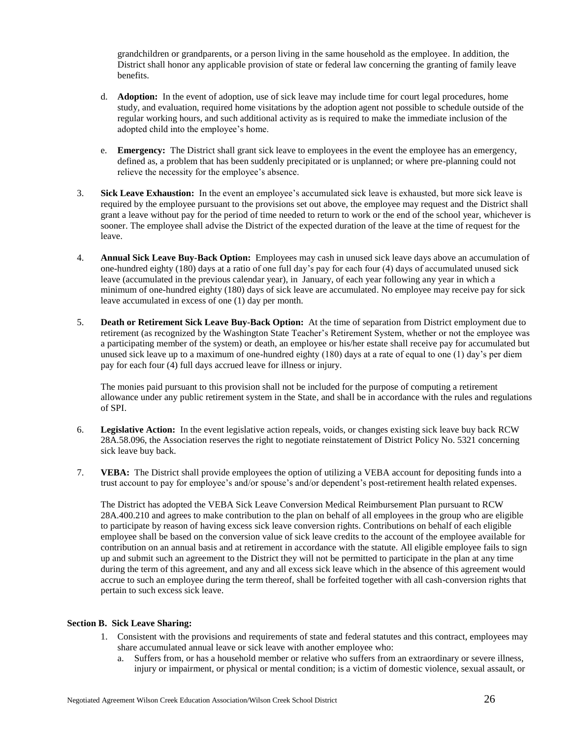grandchildren or grandparents, or a person living in the same household as the employee. In addition, the District shall honor any applicable provision of state or federal law concerning the granting of family leave benefits.

- d. **Adoption:** In the event of adoption, use of sick leave may include time for court legal procedures, home study, and evaluation, required home visitations by the adoption agent not possible to schedule outside of the regular working hours, and such additional activity as is required to make the immediate inclusion of the adopted child into the employee's home.
- e. **Emergency:** The District shall grant sick leave to employees in the event the employee has an emergency, defined as, a problem that has been suddenly precipitated or is unplanned; or where pre-planning could not relieve the necessity for the employee's absence.
- 3. **Sick Leave Exhaustion:** In the event an employee's accumulated sick leave is exhausted, but more sick leave is required by the employee pursuant to the provisions set out above, the employee may request and the District shall grant a leave without pay for the period of time needed to return to work or the end of the school year, whichever is sooner. The employee shall advise the District of the expected duration of the leave at the time of request for the leave.
- 4. **Annual Sick Leave Buy-Back Option:** Employees may cash in unused sick leave days above an accumulation of one-hundred eighty (180) days at a ratio of one full day's pay for each four (4) days of accumulated unused sick leave (accumulated in the previous calendar year), in January, of each year following any year in which a minimum of one-hundred eighty (180) days of sick leave are accumulated. No employee may receive pay for sick leave accumulated in excess of one (1) day per month.
- 5. **Death or Retirement Sick Leave Buy-Back Option:** At the time of separation from District employment due to retirement (as recognized by the Washington State Teacher's Retirement System, whether or not the employee was a participating member of the system) or death, an employee or his/her estate shall receive pay for accumulated but unused sick leave up to a maximum of one-hundred eighty (180) days at a rate of equal to one (1) day's per diem pay for each four (4) full days accrued leave for illness or injury.

The monies paid pursuant to this provision shall not be included for the purpose of computing a retirement allowance under any public retirement system in the State, and shall be in accordance with the rules and regulations of SPI.

- 6. **Legislative Action:** In the event legislative action repeals, voids, or changes existing sick leave buy back RCW 28A.58.096, the Association reserves the right to negotiate reinstatement of District Policy No. 5321 concerning sick leave buy back.
- 7. **VEBA:** The District shall provide employees the option of utilizing a VEBA account for depositing funds into a trust account to pay for employee's and/or spouse's and/or dependent's post-retirement health related expenses.

The District has adopted the VEBA Sick Leave Conversion Medical Reimbursement Plan pursuant to RCW 28A.400.210 and agrees to make contribution to the plan on behalf of all employees in the group who are eligible to participate by reason of having excess sick leave conversion rights. Contributions on behalf of each eligible employee shall be based on the conversion value of sick leave credits to the account of the employee available for contribution on an annual basis and at retirement in accordance with the statute. All eligible employee fails to sign up and submit such an agreement to the District they will not be permitted to participate in the plan at any time during the term of this agreement, and any and all excess sick leave which in the absence of this agreement would accrue to such an employee during the term thereof, shall be forfeited together with all cash-conversion rights that pertain to such excess sick leave.

# **Section B. Sick Leave Sharing:**

- 1. Consistent with the provisions and requirements of state and federal statutes and this contract, employees may share accumulated annual leave or sick leave with another employee who:
	- a. Suffers from, or has a household member or relative who suffers from an extraordinary or severe illness, injury or impairment, or physical or mental condition; is a victim of domestic violence, sexual assault, or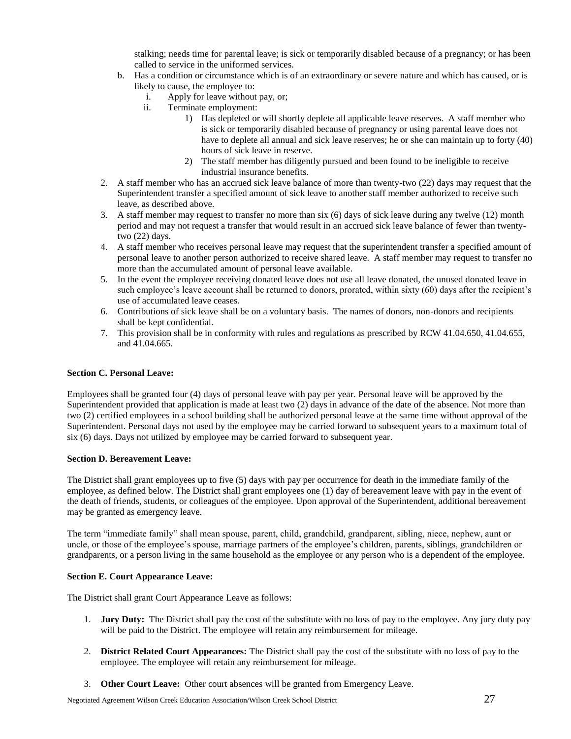stalking; needs time for parental leave; is sick or temporarily disabled because of a pregnancy; or has been called to service in the uniformed services.

- b. Has a condition or circumstance which is of an extraordinary or severe nature and which has caused, or is likely to cause, the employee to:
	- i. Apply for leave without pay, or;
	- ii. Terminate employment:
		- 1) Has depleted or will shortly deplete all applicable leave reserves. A staff member who is sick or temporarily disabled because of pregnancy or using parental leave does not have to deplete all annual and sick leave reserves; he or she can maintain up to forty (40) hours of sick leave in reserve.
		- 2) The staff member has diligently pursued and been found to be ineligible to receive industrial insurance benefits.
- 2. A staff member who has an accrued sick leave balance of more than twenty-two (22) days may request that the Superintendent transfer a specified amount of sick leave to another staff member authorized to receive such leave, as described above.
- 3. A staff member may request to transfer no more than six (6) days of sick leave during any twelve (12) month period and may not request a transfer that would result in an accrued sick leave balance of fewer than twentytwo (22) days.
- 4. A staff member who receives personal leave may request that the superintendent transfer a specified amount of personal leave to another person authorized to receive shared leave. A staff member may request to transfer no more than the accumulated amount of personal leave available.
- 5. In the event the employee receiving donated leave does not use all leave donated, the unused donated leave in such employee's leave account shall be returned to donors, prorated, within sixty (60) days after the recipient's use of accumulated leave ceases.
- 6. Contributions of sick leave shall be on a voluntary basis. The names of donors, non-donors and recipients shall be kept confidential.
- 7. This provision shall be in conformity with rules and regulations as prescribed by RCW 41.04.650, 41.04.655, and 41.04.665.

# **Section C. Personal Leave:**

Employees shall be granted four (4) days of personal leave with pay per year. Personal leave will be approved by the Superintendent provided that application is made at least two (2) days in advance of the date of the absence. Not more than two (2) certified employees in a school building shall be authorized personal leave at the same time without approval of the Superintendent. Personal days not used by the employee may be carried forward to subsequent years to a maximum total of six (6) days. Days not utilized by employee may be carried forward to subsequent year.

#### **Section D. Bereavement Leave:**

The District shall grant employees up to five (5) days with pay per occurrence for death in the immediate family of the employee, as defined below. The District shall grant employees one (1) day of bereavement leave with pay in the event of the death of friends, students, or colleagues of the employee. Upon approval of the Superintendent, additional bereavement may be granted as emergency leave.

The term "immediate family" shall mean spouse, parent, child, grandchild, grandparent, sibling, niece, nephew, aunt or uncle, or those of the employee's spouse, marriage partners of the employee's children, parents, siblings, grandchildren or grandparents, or a person living in the same household as the employee or any person who is a dependent of the employee.

# **Section E. Court Appearance Leave:**

The District shall grant Court Appearance Leave as follows:

- 1. **Jury Duty:** The District shall pay the cost of the substitute with no loss of pay to the employee. Any jury duty pay will be paid to the District. The employee will retain any reimbursement for mileage.
- 2. **District Related Court Appearances:** The District shall pay the cost of the substitute with no loss of pay to the employee. The employee will retain any reimbursement for mileage.
- 3. **Other Court Leave:** Other court absences will be granted from Emergency Leave.

Negotiated Agreement Wilson Creek Education Association/Wilson Creek School District 27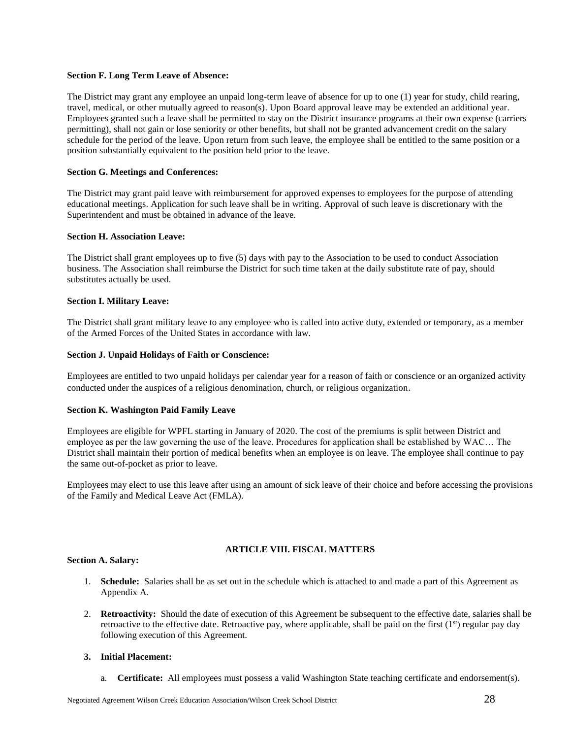# **Section F. Long Term Leave of Absence:**

The District may grant any employee an unpaid long-term leave of absence for up to one (1) year for study, child rearing, travel, medical, or other mutually agreed to reason(s). Upon Board approval leave may be extended an additional year. Employees granted such a leave shall be permitted to stay on the District insurance programs at their own expense (carriers permitting), shall not gain or lose seniority or other benefits, but shall not be granted advancement credit on the salary schedule for the period of the leave. Upon return from such leave, the employee shall be entitled to the same position or a position substantially equivalent to the position held prior to the leave.

# **Section G. Meetings and Conferences:**

The District may grant paid leave with reimbursement for approved expenses to employees for the purpose of attending educational meetings. Application for such leave shall be in writing. Approval of such leave is discretionary with the Superintendent and must be obtained in advance of the leave.

# **Section H. Association Leave:**

The District shall grant employees up to five (5) days with pay to the Association to be used to conduct Association business. The Association shall reimburse the District for such time taken at the daily substitute rate of pay, should substitutes actually be used.

# **Section I. Military Leave:**

The District shall grant military leave to any employee who is called into active duty, extended or temporary, as a member of the Armed Forces of the United States in accordance with law.

# **Section J. Unpaid Holidays of Faith or Conscience:**

Employees are entitled to two unpaid holidays per calendar year for a reason of faith or conscience or an organized activity conducted under the auspices of a religious denomination, church, or religious organization.

#### **Section K. Washington Paid Family Leave**

Employees are eligible for WPFL starting in January of 2020. The cost of the premiums is split between District and employee as per the law governing the use of the leave. Procedures for application shall be established by WAC… The District shall maintain their portion of medical benefits when an employee is on leave. The employee shall continue to pay the same out-of-pocket as prior to leave.

Employees may elect to use this leave after using an amount of sick leave of their choice and before accessing the provisions of the Family and Medical Leave Act (FMLA).

# **ARTICLE VIII. FISCAL MATTERS**

# **Section A. Salary:**

- 1. **Schedule:** Salaries shall be as set out in the schedule which is attached to and made a part of this Agreement as Appendix A.
- 2. **Retroactivity:** Should the date of execution of this Agreement be subsequent to the effective date, salaries shall be retroactive to the effective date. Retroactive pay, where applicable, shall be paid on the first  $(1<sup>st</sup>)$  regular pay day following execution of this Agreement.

# **3. Initial Placement:**

a. **Certificate:** All employees must possess a valid Washington State teaching certificate and endorsement(s).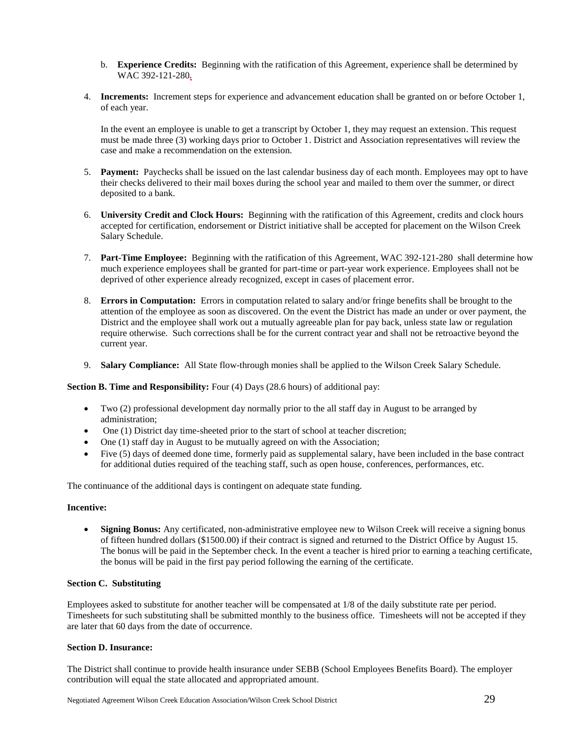- b. **Experience Credits:** Beginning with the ratification of this Agreement, experience shall be determined by WAC 392-121-280*.*
- 4. **Increments:** Increment steps for experience and advancement education shall be granted on or before October 1, of each year.

In the event an employee is unable to get a transcript by October 1, they may request an extension. This request must be made three (3) working days prior to October 1. District and Association representatives will review the case and make a recommendation on the extension.

- 5. **Payment:** Paychecks shall be issued on the last calendar business day of each month. Employees may opt to have their checks delivered to their mail boxes during the school year and mailed to them over the summer, or direct deposited to a bank.
- 6. **University Credit and Clock Hours:** Beginning with the ratification of this Agreement, credits and clock hours accepted for certification, endorsement or District initiative shall be accepted for placement on the Wilson Creek Salary Schedule.
- 7. **Part-Time Employee:** Beginning with the ratification of this Agreement, WAC 392-121-280 shall determine how much experience employees shall be granted for part-time or part-year work experience. Employees shall not be deprived of other experience already recognized, except in cases of placement error.
- 8. **Errors in Computation:** Errors in computation related to salary and/or fringe benefits shall be brought to the attention of the employee as soon as discovered. On the event the District has made an under or over payment, the District and the employee shall work out a mutually agreeable plan for pay back, unless state law or regulation require otherwise. Such corrections shall be for the current contract year and shall not be retroactive beyond the current year.
- 9. **Salary Compliance:** All State flow-through monies shall be applied to the Wilson Creek Salary Schedule.

**Section B. Time and Responsibility:** Four (4) Days (28.6 hours) of additional pay:

- Two (2) professional development day normally prior to the all staff day in August to be arranged by administration;
- One (1) District day time-sheeted prior to the start of school at teacher discretion;
- One (1) staff day in August to be mutually agreed on with the Association;
- Five (5) days of deemed done time, formerly paid as supplemental salary, have been included in the base contract for additional duties required of the teaching staff, such as open house, conferences, performances, etc.

The continuance of the additional days is contingent on adequate state funding.

#### **Incentive:**

**Signing Bonus:** Any certificated, non-administrative employee new to Wilson Creek will receive a signing bonus of fifteen hundred dollars (\$1500.00) if their contract is signed and returned to the District Office by August 15. The bonus will be paid in the September check. In the event a teacher is hired prior to earning a teaching certificate, the bonus will be paid in the first pay period following the earning of the certificate.

# **Section C. Substituting**

Employees asked to substitute for another teacher will be compensated at 1/8 of the daily substitute rate per period. Timesheets for such substituting shall be submitted monthly to the business office. Timesheets will not be accepted if they are later that 60 days from the date of occurrence.

#### **Section D. Insurance:**

The District shall continue to provide health insurance under SEBB (School Employees Benefits Board). The employer contribution will equal the state allocated and appropriated amount.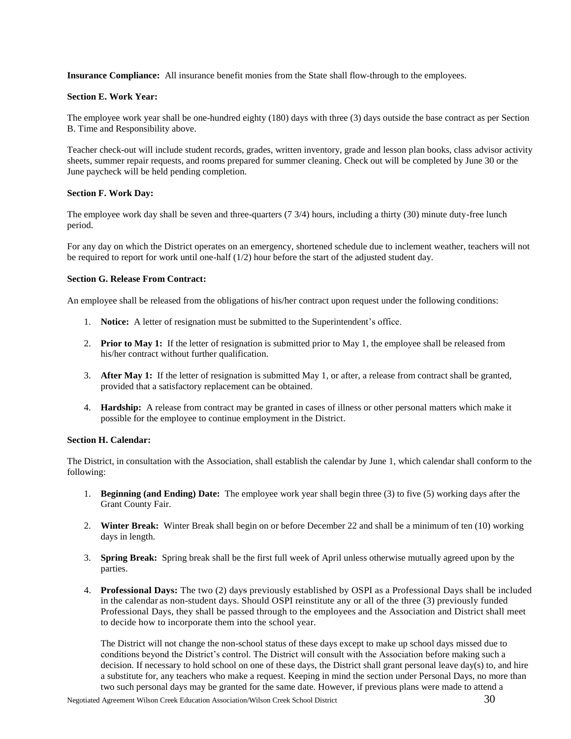**Insurance Compliance:** All insurance benefit monies from the State shall flow-through to the employees.

#### **Section E. Work Year:**

The employee work year shall be one-hundred eighty (180) days with three (3) days outside the base contract as per Section B. Time and Responsibility above.

Teacher check-out will include student records, grades, written inventory, grade and lesson plan books, class advisor activity sheets, summer repair requests, and rooms prepared for summer cleaning. Check out will be completed by June 30 or the June paycheck will be held pending completion.

# **Section F. Work Day:**

The employee work day shall be seven and three-quarters (7 3/4) hours, including a thirty (30) minute duty-free lunch period.

For any day on which the District operates on an emergency, shortened schedule due to inclement weather, teachers will not be required to report for work until one-half (1/2) hour before the start of the adjusted student day.

#### **Section G. Release From Contract:**

An employee shall be released from the obligations of his/her contract upon request under the following conditions:

- 1. **Notice:** A letter of resignation must be submitted to the Superintendent's office.
- 2. **Prior to May 1:** If the letter of resignation is submitted prior to May 1, the employee shall be released from his/her contract without further qualification.
- 3. **After May 1:** If the letter of resignation is submitted May 1, or after, a release from contract shall be granted, provided that a satisfactory replacement can be obtained.
- 4. **Hardship:** A release from contract may be granted in cases of illness or other personal matters which make it possible for the employee to continue employment in the District.

#### **Section H. Calendar:**

The District, in consultation with the Association, shall establish the calendar by June 1, which calendar shall conform to the following:

- 1. **Beginning (and Ending) Date:** The employee work year shall begin three (3) to five (5) working days after the Grant County Fair.
- 2. **Winter Break:** Winter Break shall begin on or before December 22 and shall be a minimum of ten (10) working days in length.
- 3. **Spring Break:** Spring break shall be the first full week of April unless otherwise mutually agreed upon by the parties.
- 4. **Professional Days:** The two (2) days previously established by OSPI as a Professional Days shall be included in the calendar as non-student days. Should OSPI reinstitute any or all of the three (3) previously funded Professional Days, they shall be passed through to the employees and the Association and District shall meet to decide how to incorporate them into the school year.

The District will not change the non-school status of these days except to make up school days missed due to conditions beyond the District's control. The District will consult with the Association before making such a decision. If necessary to hold school on one of these days, the District shall grant personal leave day(s) to, and hire a substitute for, any teachers who make a request. Keeping in mind the section under Personal Days, no more than two such personal days may be granted for the same date. However, if previous plans were made to attend a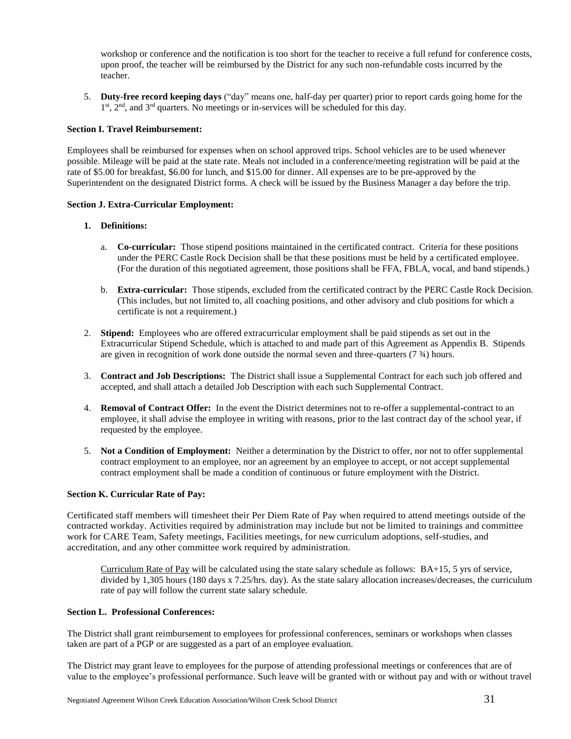workshop or conference and the notification is too short for the teacher to receive a full refund for conference costs, upon proof, the teacher will be reimbursed by the District for any such non-refundable costs incurred by the teacher.

5. **Duty-free record keeping days** ("day" means one, half-day per quarter) prior to report cards going home for the 1<sup>st</sup>, 2<sup>nd</sup>, and 3<sup>rd</sup> quarters. No meetings or in-services will be scheduled for this day.

# **Section I. Travel Reimbursement:**

Employees shall be reimbursed for expenses when on school approved trips. School vehicles are to be used whenever possible. Mileage will be paid at the state rate. Meals not included in a conference/meeting registration will be paid at the rate of \$5.00 for breakfast, \$6.00 for lunch, and \$15.00 for dinner. All expenses are to be pre-approved by the Superintendent on the designated District forms. A check will be issued by the Business Manager a day before the trip.

#### **Section J. Extra-Curricular Employment:**

# **1. Definitions:**

- a. **Co-curricular:** Those stipend positions maintained in the certificated contract. Criteria for these positions under the PERC Castle Rock Decision shall be that these positions must be held by a certificated employee. (For the duration of this negotiated agreement, those positions shall be FFA, FBLA, vocal, and band stipends.)
- b. **Extra-curricular:** Those stipends, excluded from the certificated contract by the PERC Castle Rock Decision. (This includes, but not limited to, all coaching positions, and other advisory and club positions for which a certificate is not a requirement.)
- 2. **Stipend:** Employees who are offered extracurricular employment shall be paid stipends as set out in the Extracurricular Stipend Schedule, which is attached to and made part of this Agreement as Appendix B. Stipends are given in recognition of work done outside the normal seven and three-quarters (7 ¾) hours.
- 3. **Contract and Job Descriptions:** The District shall issue a Supplemental Contract for each such job offered and accepted, and shall attach a detailed Job Description with each such Supplemental Contract.
- 4. **Removal of Contract Offer:** In the event the District determines not to re-offer a supplemental-contract to an employee, it shall advise the employee in writing with reasons, prior to the last contract day of the school year, if requested by the employee.
- 5. **Not a Condition of Employment:** Neither a determination by the District to offer, nor not to offer supplemental contract employment to an employee, nor an agreement by an employee to accept, or not accept supplemental contract employment shall be made a condition of continuous or future employment with the District.

#### **Section K. Curricular Rate of Pay:**

Certificated staff members will timesheet their Per Diem Rate of Pay when required to attend meetings outside of the contracted workday. Activities required by administration may include but not be limited to trainings and committee work for CARE Team, Safety meetings, Facilities meetings, for new curriculum adoptions, self-studies, and accreditation, and any other committee work required by administration.

Curriculum Rate of Pay will be calculated using the state salary schedule as follows: BA+15, 5 yrs of service, divided by 1,305 hours (180 days x 7.25/hrs. day). As the state salary allocation increases/decreases, the curriculum rate of pay will follow the current state salary schedule.

#### **Section L. Professional Conferences:**

The District shall grant reimbursement to employees for professional conferences, seminars or workshops when classes taken are part of a PGP or are suggested as a part of an employee evaluation.

The District may grant leave to employees for the purpose of attending professional meetings or conferences that are of value to the employee's professional performance. Such leave will be granted with or without pay and with or without travel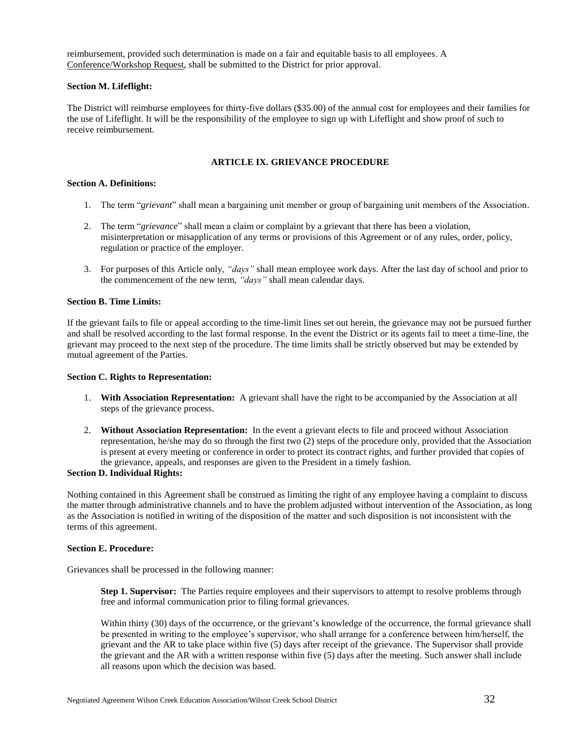reimbursement, provided such determination is made on a fair and equitable basis to all employees. A Conference/Workshop Request, shall be submitted to the District for prior approval.

# **Section M. Lifeflight:**

The District will reimburse employees for thirty-five dollars (\$35.00) of the annual cost for employees and their families for the use of Lifeflight. It will be the responsibility of the employee to sign up with Lifeflight and show proof of such to receive reimbursement.

# **ARTICLE IX. GRIEVANCE PROCEDURE**

# **Section A. Definitions:**

- 1. The term "*grievant*" shall mean a bargaining unit member or group of bargaining unit members of the Association.
- 2. The term "*grievance*" shall mean a claim or complaint by a grievant that there has been a violation, misinterpretation or misapplication of any terms or provisions of this Agreement or of any rules, order, policy, regulation or practice of the employer.
- 3. For purposes of this Article only, *"days"* shall mean employee work days. After the last day of school and prior to the commencement of the new term, *"days"* shall mean calendar days.

# **Section B. Time Limits:**

If the grievant fails to file or appeal according to the time-limit lines set out herein, the grievance may not be pursued further and shall be resolved according to the last formal response. In the event the District or its agents fail to meet a time-line, the grievant may proceed to the next step of the procedure. The time limits shall be strictly observed but may be extended by mutual agreement of the Parties.

#### **Section C. Rights to Representation:**

- 1. **With Association Representation:** A grievant shall have the right to be accompanied by the Association at all steps of the grievance process.
- 2. **Without Association Representation:** In the event a grievant elects to file and proceed without Association representation, he/she may do so through the first two (2) steps of the procedure only, provided that the Association is present at every meeting or conference in order to protect its contract rights, and further provided that copies of the grievance, appeals, and responses are given to the President in a timely fashion.

#### **Section D. Individual Rights:**

Nothing contained in this Agreement shall be construed as limiting the right of any employee having a complaint to discuss the matter through administrative channels and to have the problem adjusted without intervention of the Association, as long as the Association is notified in writing of the disposition of the matter and such disposition is not inconsistent with the terms of this agreement.

# **Section E. Procedure:**

Grievances shall be processed in the following manner:

**Step 1. Supervisor:** The Parties require employees and their supervisors to attempt to resolve problems through free and informal communication prior to filing formal grievances.

Within thirty (30) days of the occurrence, or the grievant's knowledge of the occurrence, the formal grievance shall be presented in writing to the employee's supervisor, who shall arrange for a conference between him/herself, the grievant and the AR to take place within five (5) days after receipt of the grievance. The Supervisor shall provide the grievant and the AR with a written response within five (5) days after the meeting. Such answer shall include all reasons upon which the decision was based.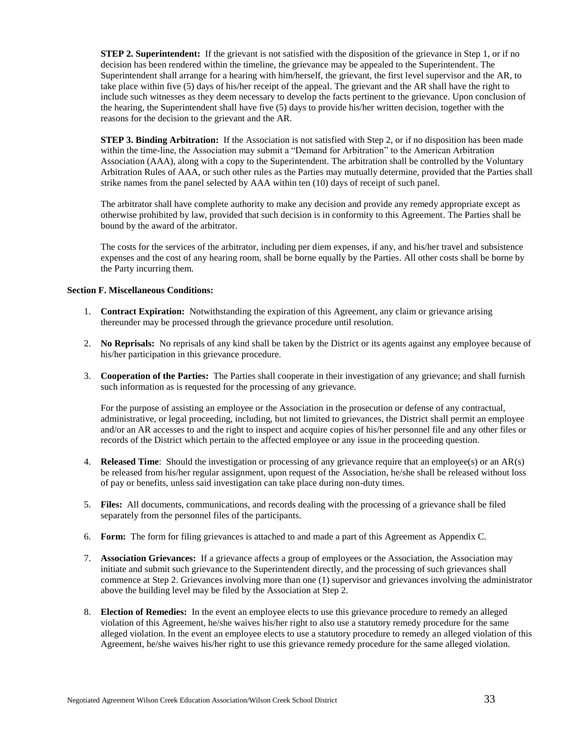**STEP 2. Superintendent:** If the grievant is not satisfied with the disposition of the grievance in Step 1, or if no decision has been rendered within the timeline, the grievance may be appealed to the Superintendent. The Superintendent shall arrange for a hearing with him/herself, the grievant, the first level supervisor and the AR, to take place within five (5) days of his/her receipt of the appeal. The grievant and the AR shall have the right to include such witnesses as they deem necessary to develop the facts pertinent to the grievance. Upon conclusion of the hearing, the Superintendent shall have five (5) days to provide his/her written decision, together with the reasons for the decision to the grievant and the AR.

**STEP 3. Binding Arbitration:** If the Association is not satisfied with Step 2, or if no disposition has been made within the time-line, the Association may submit a "Demand for Arbitration" to the American Arbitration Association (AAA), along with a copy to the Superintendent. The arbitration shall be controlled by the Voluntary Arbitration Rules of AAA, or such other rules as the Parties may mutually determine, provided that the Parties shall strike names from the panel selected by AAA within ten (10) days of receipt of such panel.

The arbitrator shall have complete authority to make any decision and provide any remedy appropriate except as otherwise prohibited by law, provided that such decision is in conformity to this Agreement. The Parties shall be bound by the award of the arbitrator.

The costs for the services of the arbitrator, including per diem expenses, if any, and his/her travel and subsistence expenses and the cost of any hearing room, shall be borne equally by the Parties. All other costs shall be borne by the Party incurring them.

# **Section F. Miscellaneous Conditions:**

- 1. **Contract Expiration:** Notwithstanding the expiration of this Agreement, any claim or grievance arising thereunder may be processed through the grievance procedure until resolution.
- 2. **No Reprisals:** No reprisals of any kind shall be taken by the District or its agents against any employee because of his/her participation in this grievance procedure.
- 3. **Cooperation of the Parties:** The Parties shall cooperate in their investigation of any grievance; and shall furnish such information as is requested for the processing of any grievance.

For the purpose of assisting an employee or the Association in the prosecution or defense of any contractual, administrative, or legal proceeding, including, but not limited to grievances, the District shall permit an employee and/or an AR accesses to and the right to inspect and acquire copies of his/her personnel file and any other files or records of the District which pertain to the affected employee or any issue in the proceeding question.

- 4. **Released Time**: Should the investigation or processing of any grievance require that an employee(s) or an AR(s) be released from his/her regular assignment, upon request of the Association, he/she shall be released without loss of pay or benefits, unless said investigation can take place during non-duty times.
- 5. **Files:** All documents, communications, and records dealing with the processing of a grievance shall be filed separately from the personnel files of the participants.
- 6. **Form:** The form for filing grievances is attached to and made a part of this Agreement as Appendix C.
- 7. **Association Grievances:** If a grievance affects a group of employees or the Association, the Association may initiate and submit such grievance to the Superintendent directly, and the processing of such grievances shall commence at Step 2. Grievances involving more than one (1) supervisor and grievances involving the administrator above the building level may be filed by the Association at Step 2.
- 8. **Election of Remedies:** In the event an employee elects to use this grievance procedure to remedy an alleged violation of this Agreement, he/she waives his/her right to also use a statutory remedy procedure for the same alleged violation. In the event an employee elects to use a statutory procedure to remedy an alleged violation of this Agreement, he/she waives his/her right to use this grievance remedy procedure for the same alleged violation.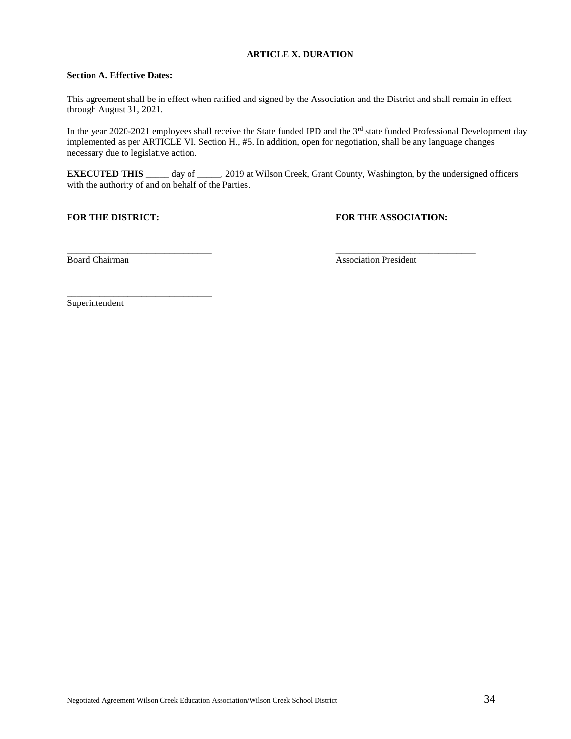# **ARTICLE X. DURATION**

# **Section A. Effective Dates:**

This agreement shall be in effect when ratified and signed by the Association and the District and shall remain in effect through August 31, 2021.

In the year 2020-2021 employees shall receive the State funded IPD and the 3<sup>rd</sup> state funded Professional Development day implemented as per ARTICLE VI. Section H., #5. In addition, open for negotiation, shall be any language changes necessary due to legislative action.

**EXECUTED THIS** \_\_\_\_\_ day of \_\_\_\_, 2019 at Wilson Creek, Grant County, Washington, by the undersigned officers with the authority of and on behalf of the Parties.

 $\frac{1}{2}$  , the contribution of the contribution of the contribution of the contribution of the contribution of the contribution of the contribution of the contribution of the contribution of the contribution of the contr

\_\_\_\_\_\_\_\_\_\_\_\_\_\_\_\_\_\_\_\_\_\_\_\_\_\_\_\_\_\_\_

# **FOR THE DISTRICT: FOR THE ASSOCIATION:**

Board Chairman **Association President Association President** 

Superintendent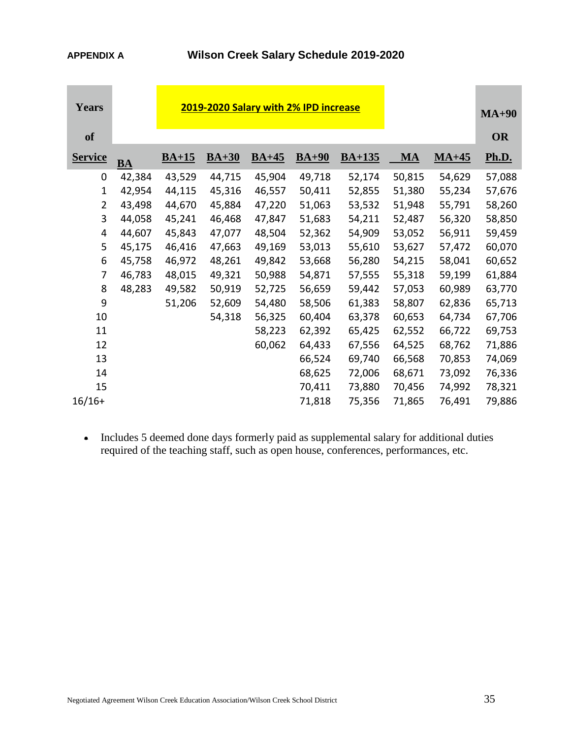| <b>Years</b>   |           |         | $MA+90$ |         |         |          |           |              |              |
|----------------|-----------|---------|---------|---------|---------|----------|-----------|--------------|--------------|
| <b>of</b>      |           |         |         |         |         |          |           |              | <b>OR</b>    |
| <b>Service</b> | <b>BA</b> | $BA+15$ | $BA+30$ | $BA+45$ | $BA+90$ | $BA+135$ | <b>MA</b> | <u>MA+45</u> | <b>Ph.D.</b> |
| 0              | 42,384    | 43,529  | 44,715  | 45,904  | 49,718  | 52,174   | 50,815    | 54,629       | 57,088       |
| $\mathbf{1}$   | 42,954    | 44,115  | 45,316  | 46,557  | 50,411  | 52,855   | 51,380    | 55,234       | 57,676       |
| $\overline{2}$ | 43,498    | 44,670  | 45,884  | 47,220  | 51,063  | 53,532   | 51,948    | 55,791       | 58,260       |
| 3              | 44,058    | 45,241  | 46,468  | 47,847  | 51,683  | 54,211   | 52,487    | 56,320       | 58,850       |
| 4              | 44,607    | 45,843  | 47,077  | 48,504  | 52,362  | 54,909   | 53,052    | 56,911       | 59,459       |
| 5              | 45,175    | 46,416  | 47,663  | 49,169  | 53,013  | 55,610   | 53,627    | 57,472       | 60,070       |
| 6              | 45,758    | 46,972  | 48,261  | 49,842  | 53,668  | 56,280   | 54,215    | 58,041       | 60,652       |
| $\overline{7}$ | 46,783    | 48,015  | 49,321  | 50,988  | 54,871  | 57,555   | 55,318    | 59,199       | 61,884       |
| 8              | 48,283    | 49,582  | 50,919  | 52,725  | 56,659  | 59,442   | 57,053    | 60,989       | 63,770       |
| 9              |           | 51,206  | 52,609  | 54,480  | 58,506  | 61,383   | 58,807    | 62,836       | 65,713       |
| 10             |           |         | 54,318  | 56,325  | 60,404  | 63,378   | 60,653    | 64,734       | 67,706       |
| 11             |           |         |         | 58,223  | 62,392  | 65,425   | 62,552    | 66,722       | 69,753       |
| 12             |           |         |         | 60,062  | 64,433  | 67,556   | 64,525    | 68,762       | 71,886       |
| 13             |           |         |         |         | 66,524  | 69,740   | 66,568    | 70,853       | 74,069       |
| 14             |           |         |         |         | 68,625  | 72,006   | 68,671    | 73,092       | 76,336       |
| 15             |           |         |         |         | 70,411  | 73,880   | 70,456    | 74,992       | 78,321       |
| $16/16+$       |           |         |         |         | 71,818  | 75,356   | 71,865    | 76,491       | 79,886       |

 Includes 5 deemed done days formerly paid as supplemental salary for additional duties required of the teaching staff, such as open house, conferences, performances, etc.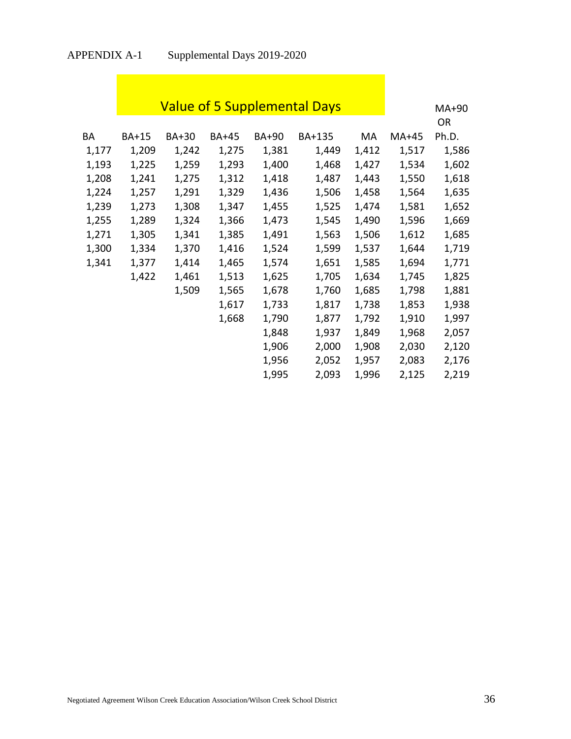**D** 

|       | <b>Value of 5 Supplemental Days</b> |       | $MA+90$      |       |        |       |         |           |
|-------|-------------------------------------|-------|--------------|-------|--------|-------|---------|-----------|
|       |                                     |       |              |       |        |       |         | <b>OR</b> |
| ВA    | <b>BA+15</b>                        | BA+30 | <b>BA+45</b> | BA+90 | BA+135 | MA    | $MA+45$ | Ph.D.     |
| 1,177 | 1,209                               | 1,242 | 1,275        | 1,381 | 1,449  | 1,412 | 1,517   | 1,586     |
| 1,193 | 1,225                               | 1,259 | 1,293        | 1,400 | 1,468  | 1,427 | 1,534   | 1,602     |
| 1,208 | 1,241                               | 1,275 | 1,312        | 1,418 | 1,487  | 1,443 | 1,550   | 1,618     |
| 1,224 | 1,257                               | 1,291 | 1,329        | 1,436 | 1,506  | 1,458 | 1,564   | 1,635     |
| 1,239 | 1,273                               | 1,308 | 1,347        | 1,455 | 1,525  | 1,474 | 1,581   | 1,652     |
| 1,255 | 1,289                               | 1,324 | 1,366        | 1,473 | 1,545  | 1,490 | 1,596   | 1,669     |
| 1,271 | 1,305                               | 1,341 | 1,385        | 1,491 | 1,563  | 1,506 | 1,612   | 1,685     |
| 1,300 | 1,334                               | 1,370 | 1,416        | 1,524 | 1,599  | 1,537 | 1,644   | 1,719     |
| 1,341 | 1,377                               | 1,414 | 1,465        | 1,574 | 1,651  | 1,585 | 1,694   | 1,771     |
|       | 1,422                               | 1,461 | 1,513        | 1,625 | 1,705  | 1,634 | 1,745   | 1,825     |
|       |                                     | 1,509 | 1,565        | 1,678 | 1,760  | 1,685 | 1,798   | 1,881     |
|       |                                     |       | 1,617        | 1,733 | 1,817  | 1,738 | 1,853   | 1,938     |
|       |                                     |       | 1,668        | 1,790 | 1,877  | 1,792 | 1,910   | 1,997     |
|       |                                     |       |              | 1,848 | 1,937  | 1,849 | 1,968   | 2,057     |
|       |                                     |       |              | 1,906 | 2,000  | 1,908 | 2,030   | 2,120     |
|       |                                     |       |              | 1,956 | 2,052  | 1,957 | 2,083   | 2,176     |
|       |                                     |       |              | 1,995 | 2,093  | 1,996 | 2,125   | 2,219     |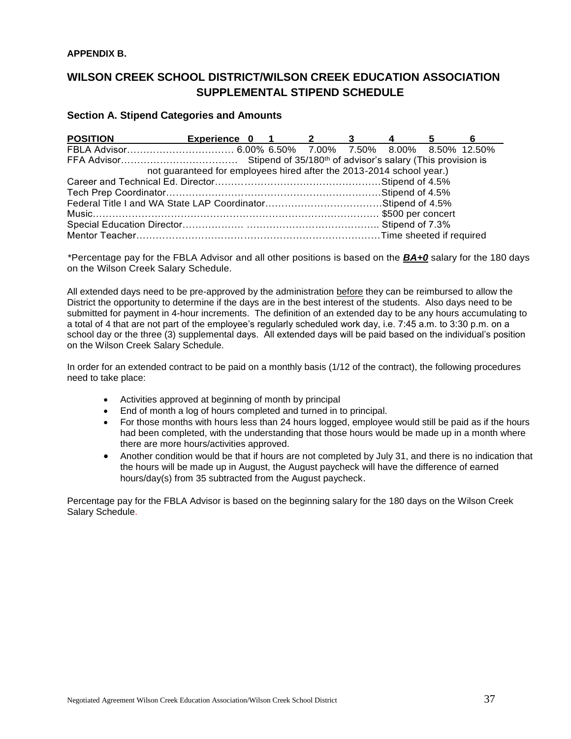# **APPENDIX B.**

# **WILSON CREEK SCHOOL DISTRICT/WILSON CREEK EDUCATION ASSOCIATION SUPPLEMENTAL STIPEND SCHEDULE**

# **Section A. Stipend Categories and Amounts**

| <b>POSITION</b> | Experience 0 1 2 3 4                                                 |  |  | $\sim$ 5 | 6 |
|-----------------|----------------------------------------------------------------------|--|--|----------|---|
|                 |                                                                      |  |  |          |   |
|                 |                                                                      |  |  |          |   |
|                 | not guaranteed for employees hired after the 2013-2014 school year.) |  |  |          |   |
|                 |                                                                      |  |  |          |   |
|                 |                                                                      |  |  |          |   |
|                 |                                                                      |  |  |          |   |
|                 |                                                                      |  |  |          |   |
|                 |                                                                      |  |  |          |   |
|                 |                                                                      |  |  |          |   |

\*Percentage pay for the FBLA Advisor and all other positions is based on the *BA+0* salary for the 180 days on the Wilson Creek Salary Schedule.

All extended days need to be pre-approved by the administration before they can be reimbursed to allow the District the opportunity to determine if the days are in the best interest of the students. Also days need to be submitted for payment in 4-hour increments. The definition of an extended day to be any hours accumulating to a total of 4 that are not part of the employee's regularly scheduled work day, i.e. 7:45 a.m. to 3:30 p.m. on a school day or the three (3) supplemental days. All extended days will be paid based on the individual's position on the Wilson Creek Salary Schedule.

In order for an extended contract to be paid on a monthly basis (1/12 of the contract), the following procedures need to take place:

- Activities approved at beginning of month by principal
- End of month a log of hours completed and turned in to principal.
- For those months with hours less than 24 hours logged, employee would still be paid as if the hours had been completed, with the understanding that those hours would be made up in a month where there are more hours/activities approved.
- Another condition would be that if hours are not completed by July 31, and there is no indication that the hours will be made up in August, the August paycheck will have the difference of earned hours/day(s) from 35 subtracted from the August paycheck.

Percentage pay for the FBLA Advisor is based on the beginning salary for the 180 days on the Wilson Creek Salary Schedule.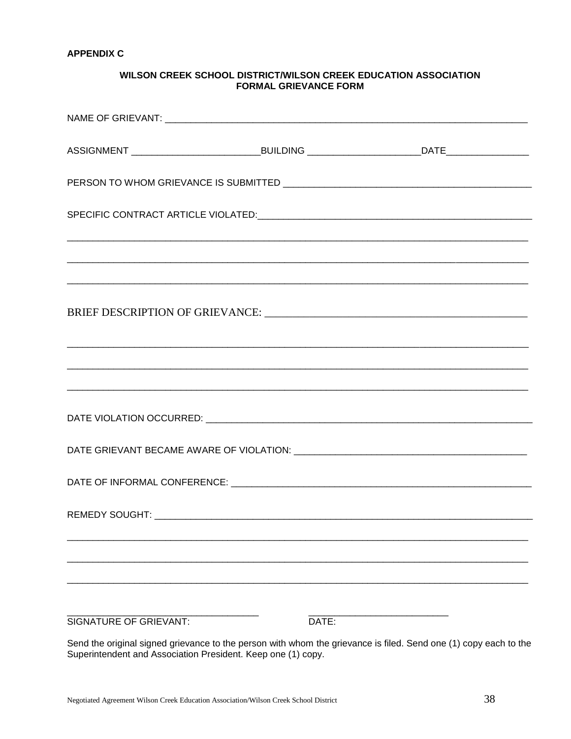# WILSON CREEK SCHOOL DISTRICT/WILSON CREEK EDUCATION ASSOCIATION **FORMAL GRIEVANCE FORM**

| <b>SIGNATURE OF GRIEVANT:</b> | DATE: |  |
|-------------------------------|-------|--|

Send the original signed grievance to the person with whom the grievance is filed. Send one (1) copy each to the Superintendent and Association President. Keep one (1) copy.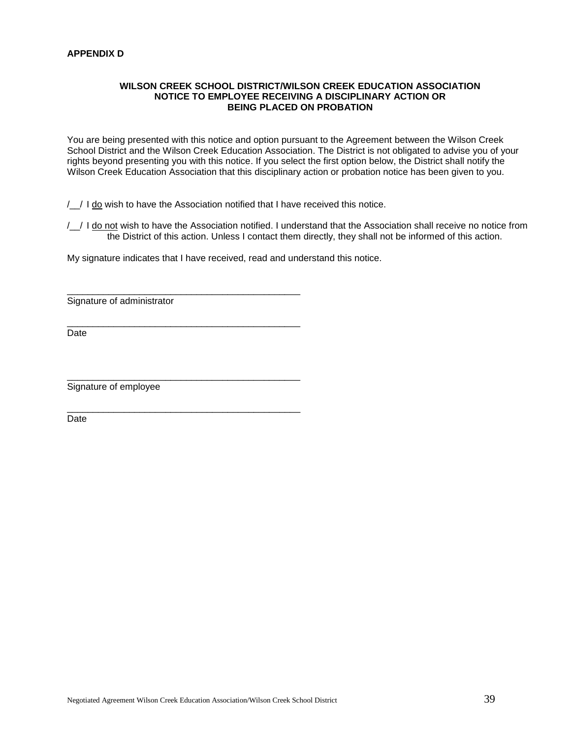# **WILSON CREEK SCHOOL DISTRICT/WILSON CREEK EDUCATION ASSOCIATION NOTICE TO EMPLOYEE RECEIVING A DISCIPLINARY ACTION OR BEING PLACED ON PROBATION**

You are being presented with this notice and option pursuant to the Agreement between the Wilson Creek School District and the Wilson Creek Education Association. The District is not obligated to advise you of your rights beyond presenting you with this notice. If you select the first option below, the District shall notify the Wilson Creek Education Association that this disciplinary action or probation notice has been given to you.

/\_\_/ I do wish to have the Association notified that I have received this notice.

/ / I do not wish to have the Association notified. I understand that the Association shall receive no notice from the District of this action. Unless I contact them directly, they shall not be informed of this action.

My signature indicates that I have received, read and understand this notice.

\_\_\_\_\_\_\_\_\_\_\_\_\_\_\_\_\_\_\_\_\_\_\_\_\_\_\_\_\_\_\_\_\_\_\_\_\_\_\_\_\_\_\_\_\_

\_\_\_\_\_\_\_\_\_\_\_\_\_\_\_\_\_\_\_\_\_\_\_\_\_\_\_\_\_\_\_\_\_\_\_\_\_\_\_\_\_\_\_\_\_

\_\_\_\_\_\_\_\_\_\_\_\_\_\_\_\_\_\_\_\_\_\_\_\_\_\_\_\_\_\_\_\_\_\_\_\_\_\_\_\_\_\_\_\_\_

\_\_\_\_\_\_\_\_\_\_\_\_\_\_\_\_\_\_\_\_\_\_\_\_\_\_\_\_\_\_\_\_\_\_\_\_\_\_\_\_\_\_\_\_\_

Signature of administrator

Date

Signature of employee

Date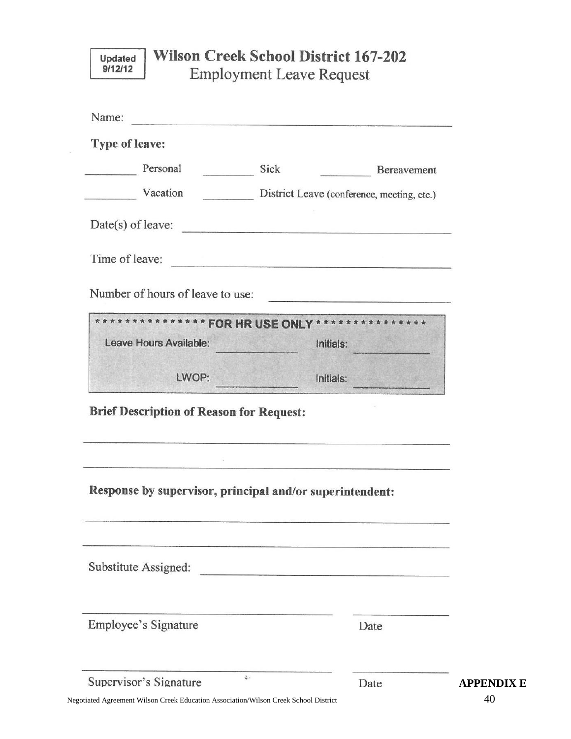| Updated |
|---------|
| 9/12/12 |

# **Wilson Creek School District 167-202 Employment Leave Request**

| Type of leave:                                                                                                                      |                                                                                                               |  |
|-------------------------------------------------------------------------------------------------------------------------------------|---------------------------------------------------------------------------------------------------------------|--|
|                                                                                                                                     |                                                                                                               |  |
| Personal<br>Sick                                                                                                                    | Bereavement                                                                                                   |  |
| Vacation                                                                                                                            | District Leave (conference, meeting, etc.)                                                                    |  |
| $Date(s)$ of leave:                                                                                                                 |                                                                                                               |  |
| Time of leave:                                                                                                                      |                                                                                                               |  |
| Number of hours of leave to use:                                                                                                    | <u> 1988 - Andrea Station, amerikansk politiker (d. 1988)</u>                                                 |  |
| ************* FOR HR USE ONLY ****************                                                                                      |                                                                                                               |  |
| Leave Hours Available:                                                                                                              | Initials:                                                                                                     |  |
|                                                                                                                                     |                                                                                                               |  |
| LWOP:                                                                                                                               | Initials:                                                                                                     |  |
|                                                                                                                                     | 24 B. T. L. West Charles Court and the State of the Court of the Court and State of the Court of the Court of |  |
| <b>Brief Description of Reason for Request:</b><br>Response by supervisor, principal and/or superintendent:<br>Substitute Assigned: |                                                                                                               |  |
| Employee's Signature                                                                                                                | Date                                                                                                          |  |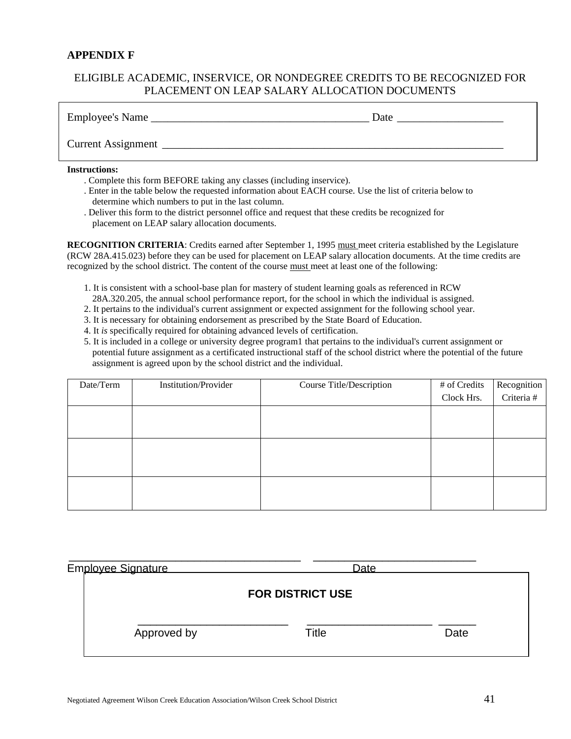# **APPENDIX F**

# ELIGIBLE ACADEMIC, INSERVICE, OR NONDEGREE CREDITS TO BE RECOGNIZED FOR PLACEMENT ON LEAP SALARY ALLOCATION DOCUMENTS

| Employee's Name    | Date |
|--------------------|------|
| Current Assignment |      |

#### **Instructions:**

- . Complete this form BEFORE taking any classes (including inservice).
- . Enter in the table below the requested information about EACH course. Use the list of criteria below to determine which numbers to put in the last column.
- . Deliver this form to the district personnel office and request that these credits be recognized for placement on LEAP salary allocation documents.

**RECOGNITION CRITERIA**: Credits earned after September 1, 1995 must meet criteria established by the Legislature (RCW 28A.415.023) before they can be used for placement on LEAP salary allocation documents. At the time credits are recognized by the school district. The content of the course must meet at least one of the following:

- 1. It is consistent with a school-base plan for mastery of student learning goals as referenced in RCW
- 28A.320.205, the annual school performance report, for the school in which the individual is assigned.
- 2. It pertains to the individual's current assignment or expected assignment for the following school year.
- 3. It is necessary for obtaining endorsement as prescribed by the State Board of Education.
- 4. It *is* specifically required for obtaining advanced levels of certification.
- 5. It is included in a college or university degree program1 that pertains to the individual's current assignment or potential future assignment as a certificated instructional staff of the school district where the potential of the future assignment is agreed upon by the school district and the individual.

| Date/Term | <b>Institution/Provider</b> | Course Title/Description | # of Credits | Recognition |
|-----------|-----------------------------|--------------------------|--------------|-------------|
|           |                             |                          | Clock Hrs.   | Criteria #  |
|           |                             |                          |              |             |
|           |                             |                          |              |             |
|           |                             |                          |              |             |
|           |                             |                          |              |             |
|           |                             |                          |              |             |
|           |                             |                          |              |             |

| Employee Signature | <b>Date</b>             |      |
|--------------------|-------------------------|------|
|                    | <b>FOR DISTRICT USE</b> |      |
| Approved by        | Title                   | Date |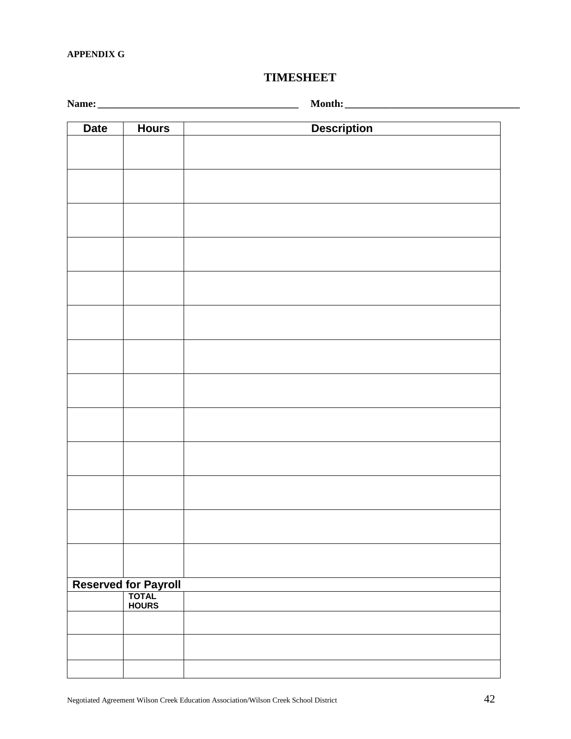# **APPENDIX G**

# **TIMESHEET**

**Name: \_\_\_\_\_\_\_\_\_\_\_\_\_\_\_\_\_\_\_\_\_\_\_\_\_\_\_\_\_\_\_\_\_\_\_\_\_\_\_ Month:\_\_\_\_\_\_\_\_\_\_\_\_\_\_\_\_\_\_\_\_\_\_\_\_\_\_\_\_\_\_\_\_\_\_**

| <b>Date</b> | <b>Hours</b>                           | <b>Description</b> |
|-------------|----------------------------------------|--------------------|
|             |                                        |                    |
|             |                                        |                    |
|             |                                        |                    |
|             |                                        |                    |
|             |                                        |                    |
|             |                                        |                    |
|             |                                        |                    |
|             |                                        |                    |
|             |                                        |                    |
|             |                                        |                    |
|             |                                        |                    |
|             |                                        |                    |
|             |                                        |                    |
|             |                                        |                    |
|             |                                        |                    |
|             |                                        |                    |
|             |                                        |                    |
|             |                                        |                    |
|             |                                        |                    |
|             |                                        |                    |
|             |                                        |                    |
|             |                                        |                    |
|             |                                        |                    |
|             | Reserved for Payroll<br>TOTAL<br>HOURS |                    |
|             |                                        |                    |
|             |                                        |                    |
|             |                                        |                    |
|             |                                        |                    |